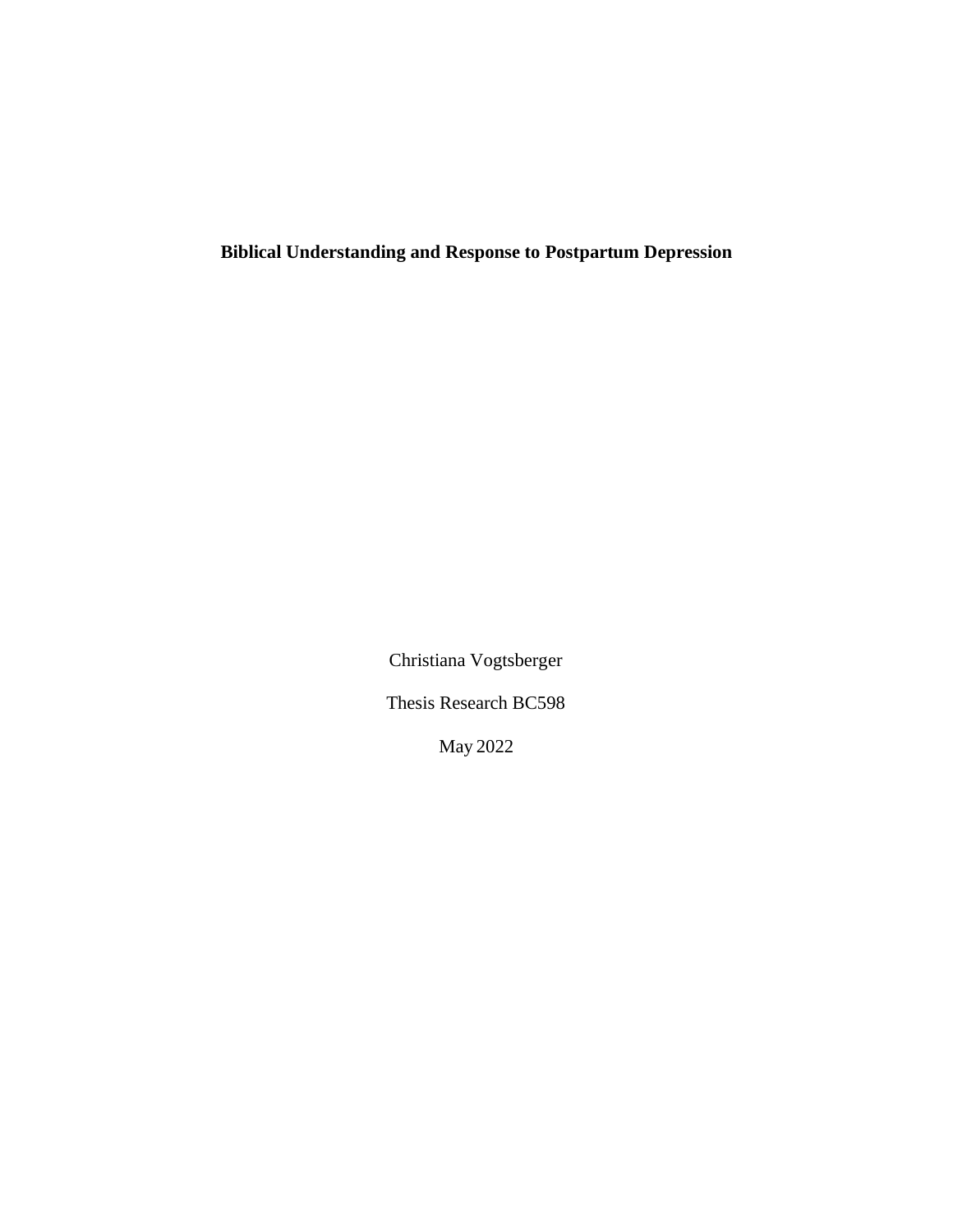**Biblical Understanding and Response to Postpartum Depression**

Christiana Vogtsberger

Thesis Research BC598

May 2022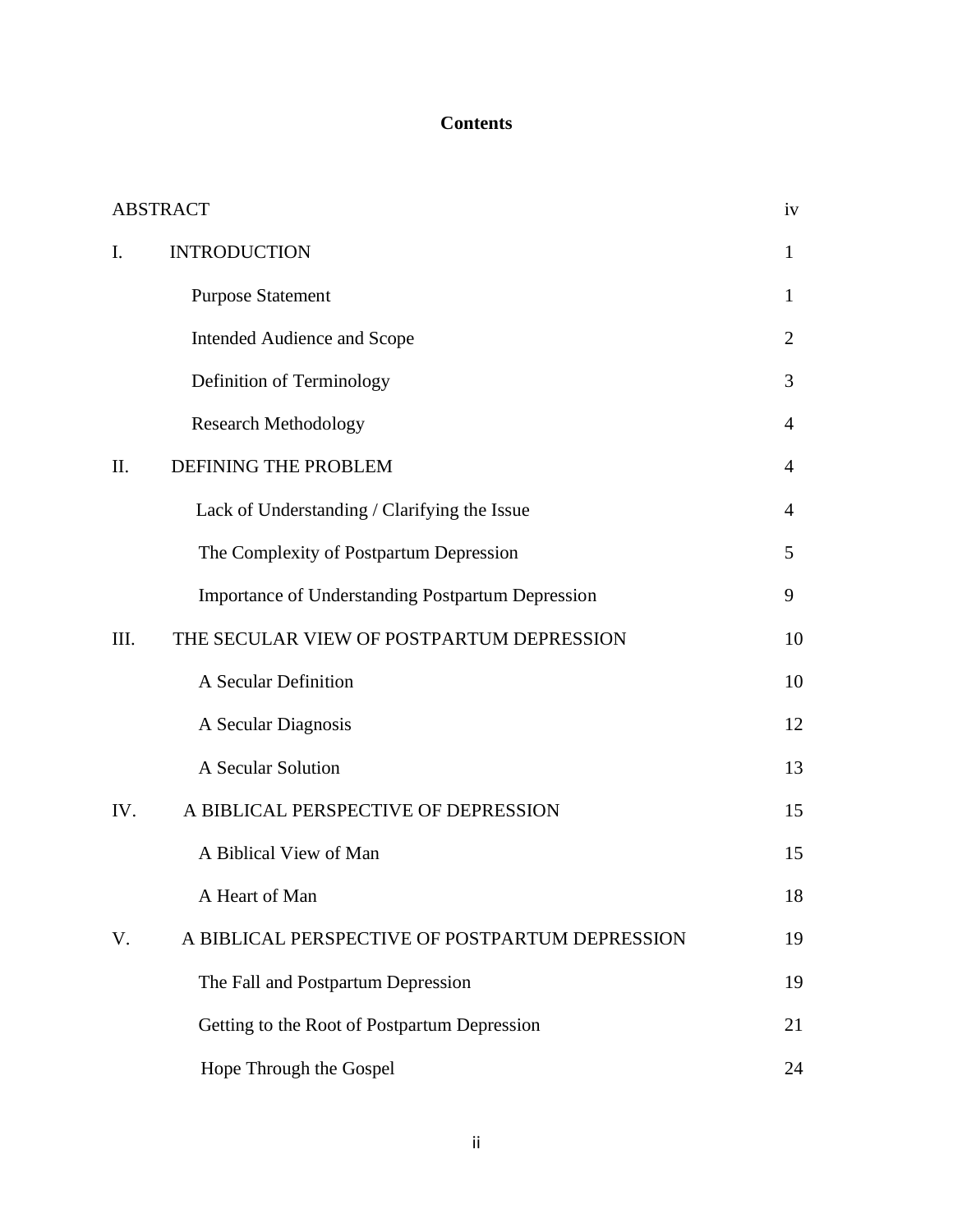# **Contents**

| <b>ABSTRACT</b> |                                                          |                |
|-----------------|----------------------------------------------------------|----------------|
| I.              | <b>INTRODUCTION</b>                                      | $\mathbf{1}$   |
|                 | <b>Purpose Statement</b>                                 | $\mathbf{1}$   |
|                 | Intended Audience and Scope                              | $\overline{2}$ |
|                 | Definition of Terminology                                | 3              |
|                 | <b>Research Methodology</b>                              | $\overline{4}$ |
| II.             | DEFINING THE PROBLEM                                     | $\overline{4}$ |
|                 | Lack of Understanding / Clarifying the Issue             | 4              |
|                 | The Complexity of Postpartum Depression                  | 5              |
|                 | <b>Importance of Understanding Postpartum Depression</b> | 9              |
| III.            | THE SECULAR VIEW OF POSTPARTUM DEPRESSION                | 10             |
|                 | A Secular Definition                                     | 10             |
|                 | A Secular Diagnosis                                      | 12             |
|                 | A Secular Solution                                       | 13             |
| IV.             | A BIBLICAL PERSPECTIVE OF DEPRESSION                     | 15             |
|                 | A Biblical View of Man                                   | 15             |
|                 | A Heart of Man                                           | 18             |
| V.              | A BIBLICAL PERSPECTIVE OF POSTPARTUM DEPRESSION          | 19             |
|                 | The Fall and Postpartum Depression                       | 19             |
|                 | Getting to the Root of Postpartum Depression             | 21             |
|                 | Hope Through the Gospel                                  | 24             |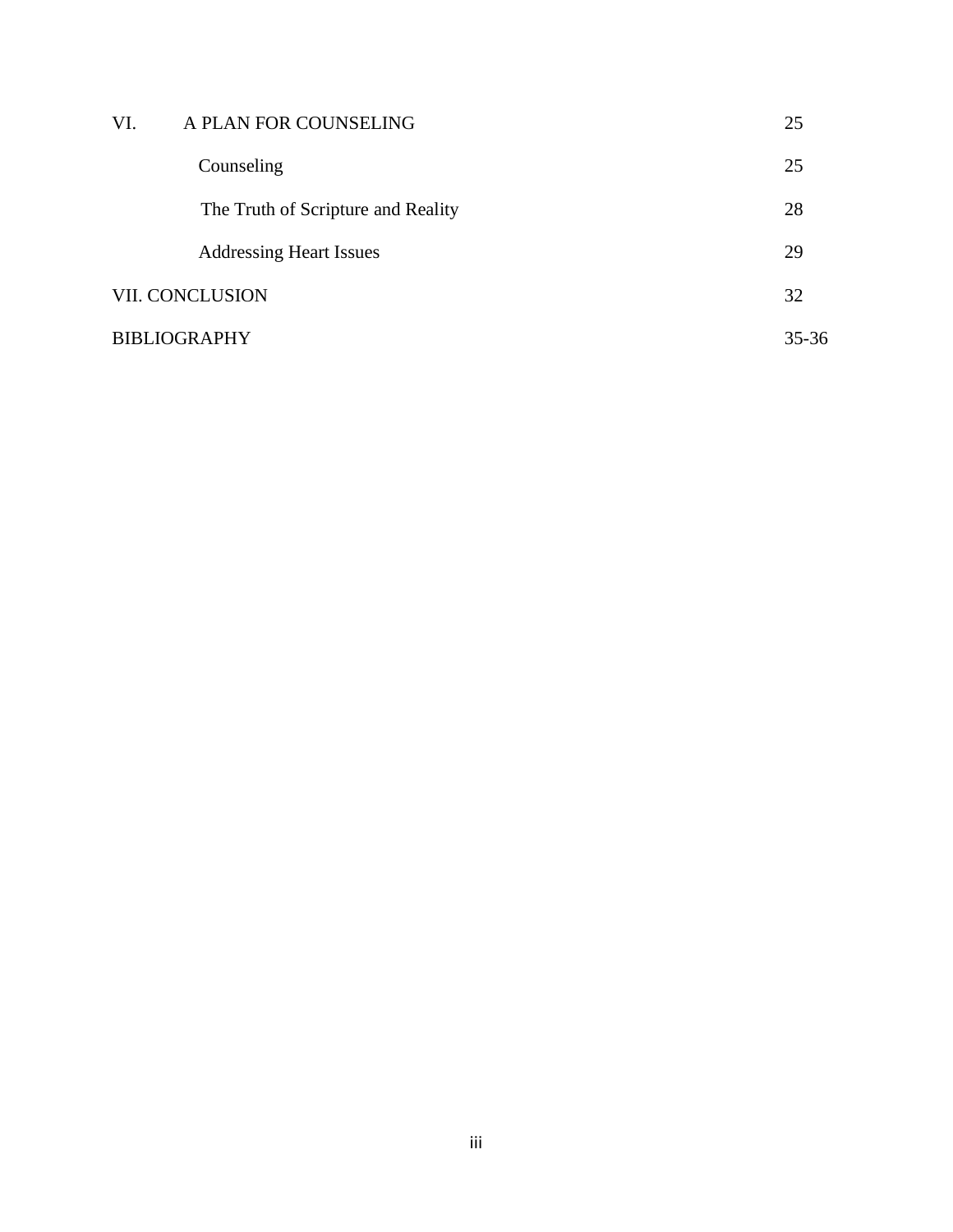| VI.                    | A PLAN FOR COUNSELING              | 25 |
|------------------------|------------------------------------|----|
|                        | Counseling                         | 25 |
|                        | The Truth of Scripture and Reality | 28 |
|                        | <b>Addressing Heart Issues</b>     | 29 |
| <b>VII. CONCLUSION</b> |                                    | 32 |
| <b>BIBLIOGRAPHY</b>    |                                    |    |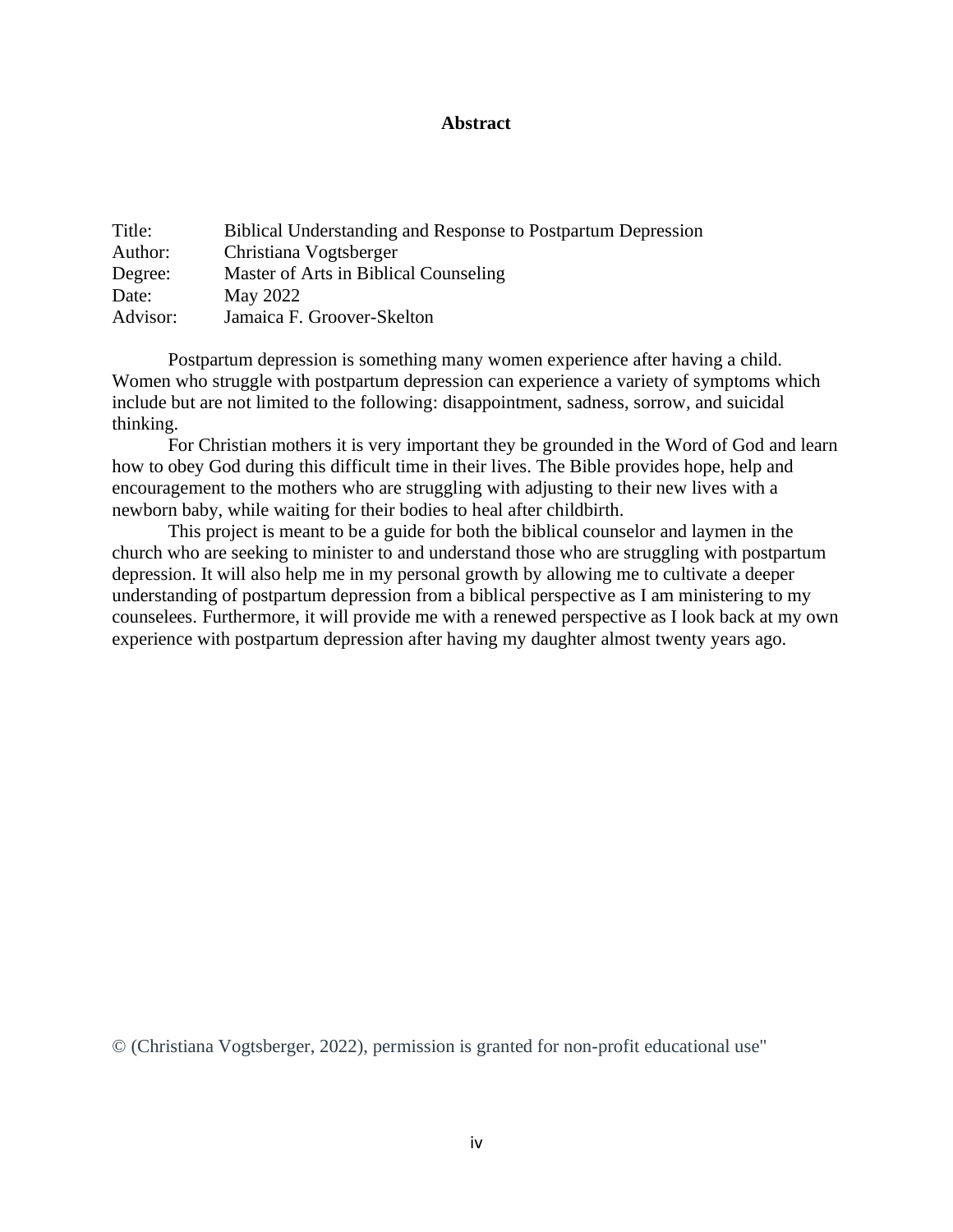### **Abstract**

| Title:   | <b>Biblical Understanding and Response to Postpartum Depression</b> |
|----------|---------------------------------------------------------------------|
| Author:  | Christiana Vogtsberger                                              |
| Degree:  | Master of Arts in Biblical Counseling                               |
| Date:    | May 2022                                                            |
| Advisor: | Jamaica F. Groover-Skelton                                          |

Postpartum depression is something many women experience after having a child. Women who struggle with postpartum depression can experience a variety of symptoms which include but are not limited to the following: disappointment, sadness, sorrow, and suicidal thinking.

For Christian mothers it is very important they be grounded in the Word of God and learn how to obey God during this difficult time in their lives. The Bible provides hope, help and encouragement to the mothers who are struggling with adjusting to their new lives with a newborn baby, while waiting for their bodies to heal after childbirth.

This project is meant to be a guide for both the biblical counselor and laymen in the church who are seeking to minister to and understand those who are struggling with postpartum depression. It will also help me in my personal growth by allowing me to cultivate a deeper understanding of postpartum depression from a biblical perspective as I am ministering to my counselees. Furthermore, it will provide me with a renewed perspective as I look back at my own experience with postpartum depression after having my daughter almost twenty years ago.

© (Christiana Vogtsberger, 2022), permission is granted for non-profit educational use"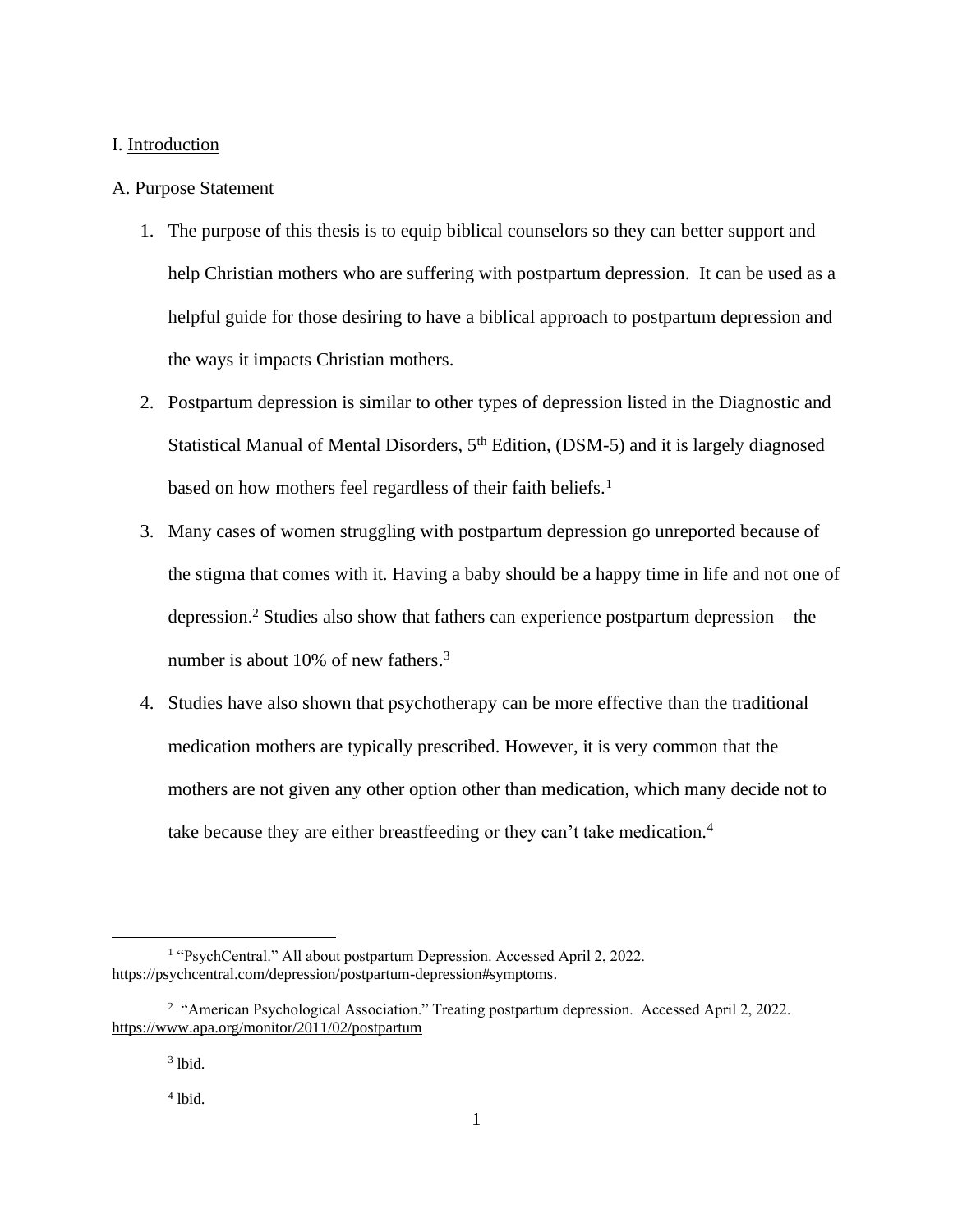#### I. Introduction

### A. Purpose Statement

- 1. The purpose of this thesis is to equip biblical counselors so they can better support and help Christian mothers who are suffering with postpartum depression. It can be used as a helpful guide for those desiring to have a biblical approach to postpartum depression and the ways it impacts Christian mothers.
- 2. Postpartum depression is similar to other types of depression listed in the Diagnostic and Statistical Manual of Mental Disorders, 5<sup>th</sup> Edition, (DSM-5) and it is largely diagnosed based on how mothers feel regardless of their faith beliefs.<sup>1</sup>
- 3. Many cases of women struggling with postpartum depression go unreported because of the stigma that comes with it. Having a baby should be a happy time in life and not one of depression. <sup>2</sup> Studies also show that fathers can experience postpartum depression – the number is about 10% of new fathers.<sup>3</sup>
- 4. Studies have also shown that psychotherapy can be more effective than the traditional medication mothers are typically prescribed. However, it is very common that the mothers are not given any other option other than medication, which many decide not to take because they are either breastfeeding or they can't take medication.<sup>4</sup>

<sup>&</sup>lt;sup>1</sup> "PsychCentral." All about postpartum Depression. Accessed April 2, 2022. [https://psychcentral.com/depression/postpartum-depression#symptoms.](https://psychcentral.com/depression/postpartum-depression#symptoms)

<sup>&</sup>lt;sup>2</sup> "American Psychological Association." Treating postpartum depression. Accessed April 2, 2022. <https://www.apa.org/monitor/2011/02/postpartum>

 $3$  lbid.

<sup>4</sup> lbid.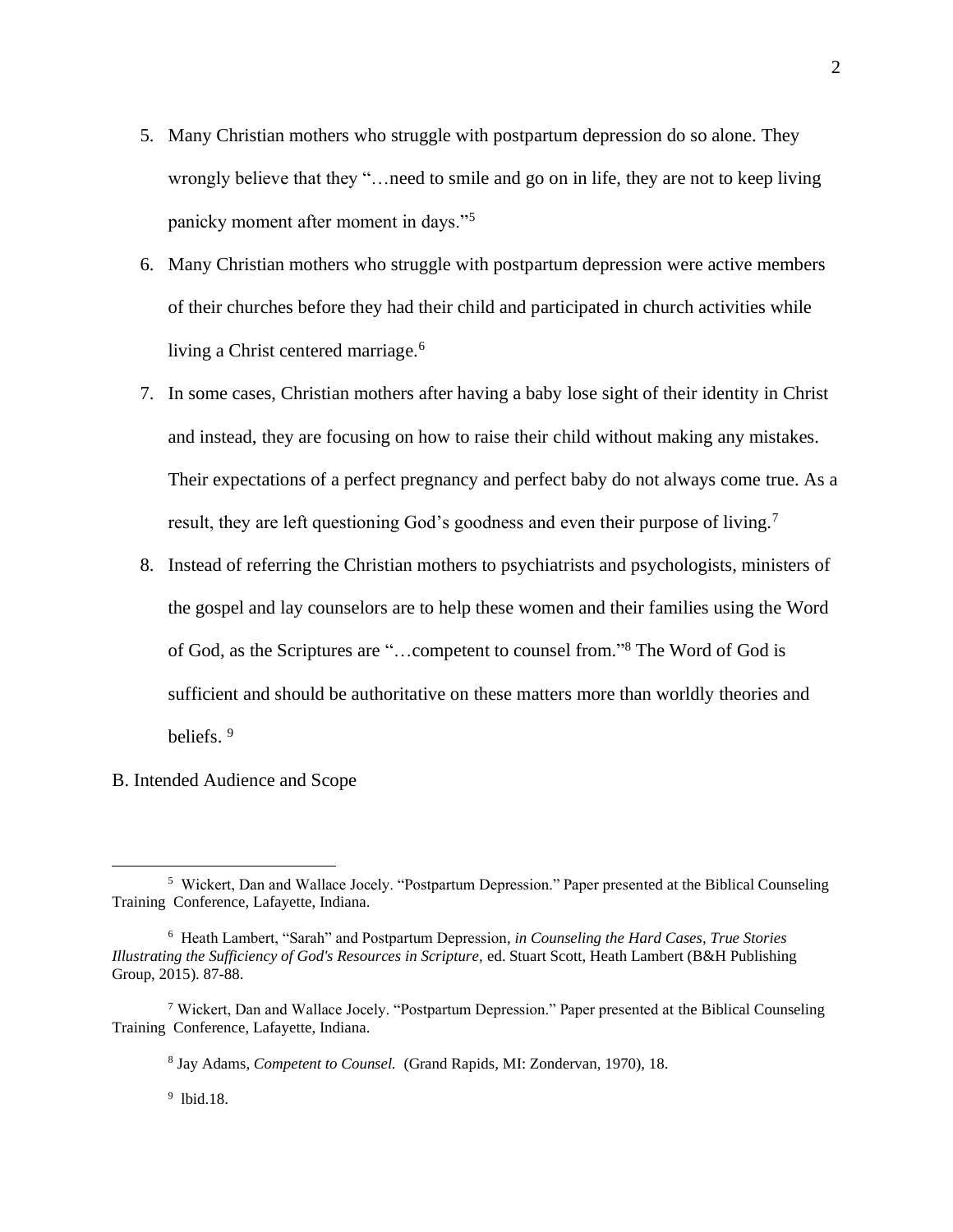- 5. Many Christian mothers who struggle with postpartum depression do so alone. They wrongly believe that they "…need to smile and go on in life, they are not to keep living panicky moment after moment in days."<sup>5</sup>
- 6. Many Christian mothers who struggle with postpartum depression were active members of their churches before they had their child and participated in church activities while living a Christ centered marriage.<sup>6</sup>
- 7. In some cases, Christian mothers after having a baby lose sight of their identity in Christ and instead, they are focusing on how to raise their child without making any mistakes. Their expectations of a perfect pregnancy and perfect baby do not always come true. As a result, they are left questioning God's goodness and even their purpose of living.<sup>7</sup>
- 8. Instead of referring the Christian mothers to psychiatrists and psychologists, ministers of the gospel and lay counselors are to help these women and their families using the Word of God, as the Scriptures are "…competent to counsel from." <sup>8</sup> The Word of God is sufficient and should be authoritative on these matters more than worldly theories and beliefs.<sup>9</sup>
- B. Intended Audience and Scope

2

9 lbid.18.

<sup>&</sup>lt;sup>5</sup> Wickert, Dan and Wallace Jocely. "Postpartum Depression." Paper presented at the Biblical Counseling Training Conference, Lafayette, Indiana.

<sup>6</sup> Heath Lambert, "Sarah" and Postpartum Depression*, in Counseling the Hard Cases, True Stories Illustrating the Sufficiency of God's Resources in Scripture,* ed. Stuart Scott, Heath Lambert (B&H Publishing Group, 2015). 87-88.

<sup>7</sup> Wickert, Dan and Wallace Jocely. "Postpartum Depression." Paper presented at the Biblical Counseling Training Conference, Lafayette, Indiana.

<sup>8</sup> Jay Adams, *Competent to Counsel.* (Grand Rapids, MI: Zondervan, 1970), 18.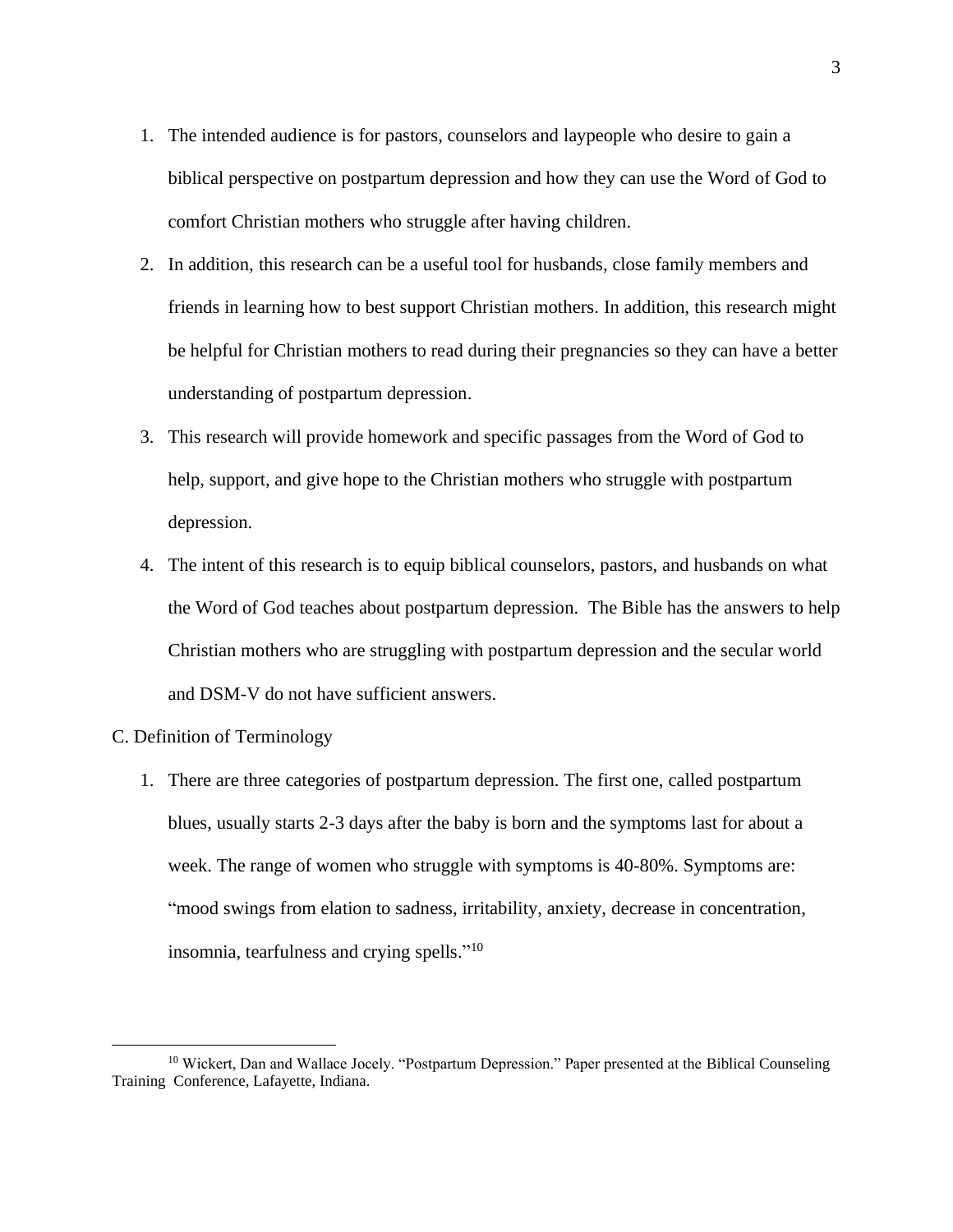- 1. The intended audience is for pastors, counselors and laypeople who desire to gain a biblical perspective on postpartum depression and how they can use the Word of God to comfort Christian mothers who struggle after having children.
- 2. In addition, this research can be a useful tool for husbands, close family members and friends in learning how to best support Christian mothers. In addition, this research might be helpful for Christian mothers to read during their pregnancies so they can have a better understanding of postpartum depression.
- 3. This research will provide homework and specific passages from the Word of God to help, support, and give hope to the Christian mothers who struggle with postpartum depression.
- 4. The intent of this research is to equip biblical counselors, pastors, and husbands on what the Word of God teaches about postpartum depression. The Bible has the answers to help Christian mothers who are struggling with postpartum depression and the secular world and DSM-V do not have sufficient answers.
- C. Definition of Terminology
	- 1. There are three categories of postpartum depression. The first one, called postpartum blues, usually starts 2-3 days after the baby is born and the symptoms last for about a week. The range of women who struggle with symptoms is 40-80%. Symptoms are: "mood swings from elation to sadness, irritability, anxiety, decrease in concentration, insomnia, tearfulness and crying spells."<sup>10</sup>

<sup>&</sup>lt;sup>10</sup> Wickert, Dan and Wallace Jocely. "Postpartum Depression." Paper presented at the Biblical Counseling Training Conference, Lafayette, Indiana.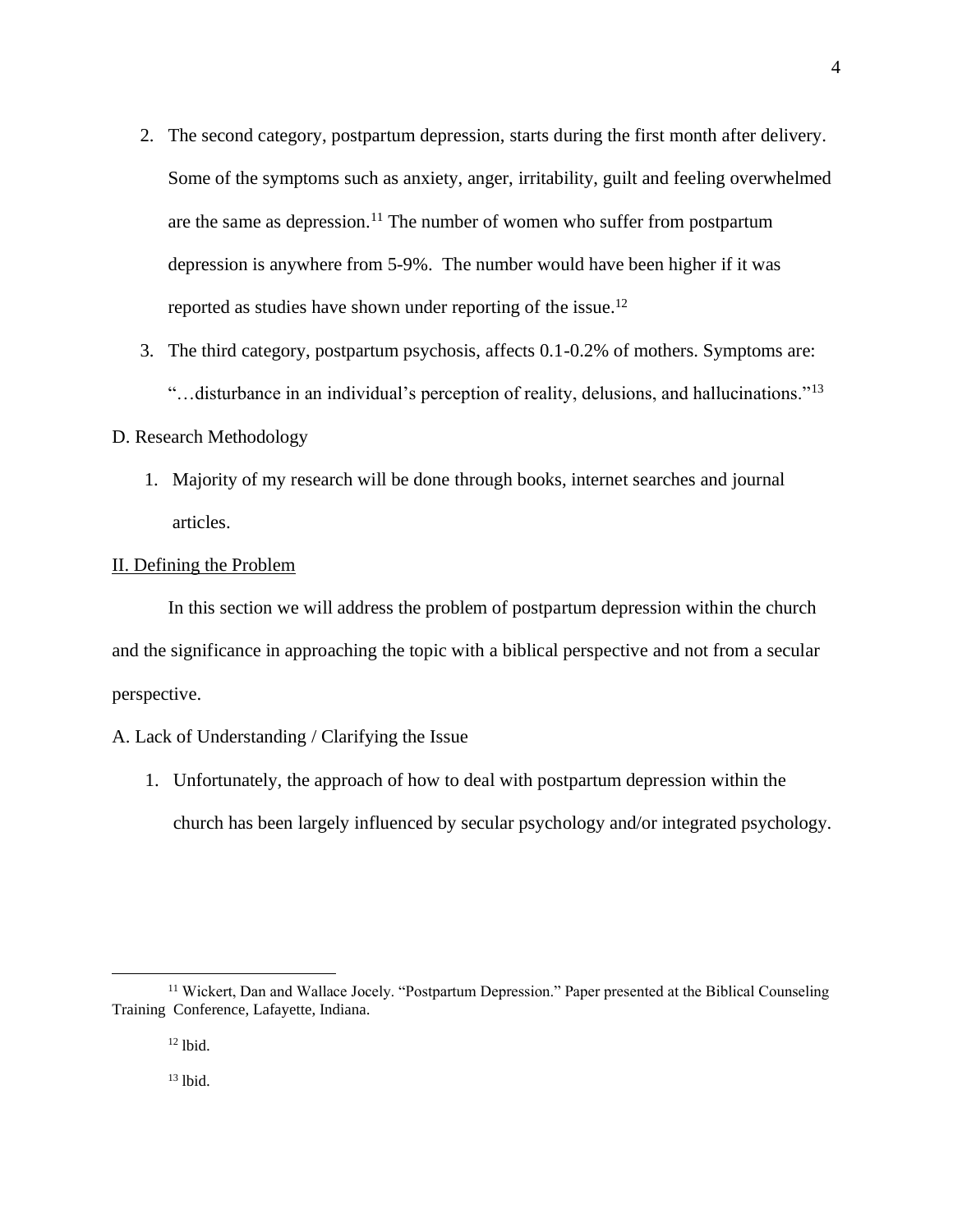- 2. The second category, postpartum depression, starts during the first month after delivery. Some of the symptoms such as anxiety, anger, irritability, guilt and feeling overwhelmed are the same as depression.<sup>11</sup> The number of women who suffer from postpartum depression is anywhere from 5-9%. The number would have been higher if it was reported as studies have shown under reporting of the issue.<sup>12</sup>
- 3. The third category, postpartum psychosis, affects 0.1-0.2% of mothers. Symptoms are: "…disturbance in an individual's perception of reality, delusions, and hallucinations."<sup>13</sup>

### D. Research Methodology

1. Majority of my research will be done through books, internet searches and journal articles.

### II. Defining the Problem

In this section we will address the problem of postpartum depression within the church and the significance in approaching the topic with a biblical perspective and not from a secular perspective.

## A. Lack of Understanding / Clarifying the Issue

1. Unfortunately, the approach of how to deal with postpartum depression within the church has been largely influenced by secular psychology and/or integrated psychology.

<sup>&</sup>lt;sup>11</sup> Wickert, Dan and Wallace Jocely. "Postpartum Depression." Paper presented at the Biblical Counseling Training Conference, Lafayette, Indiana.

<sup>12</sup> lbid.

 $13$  lbid.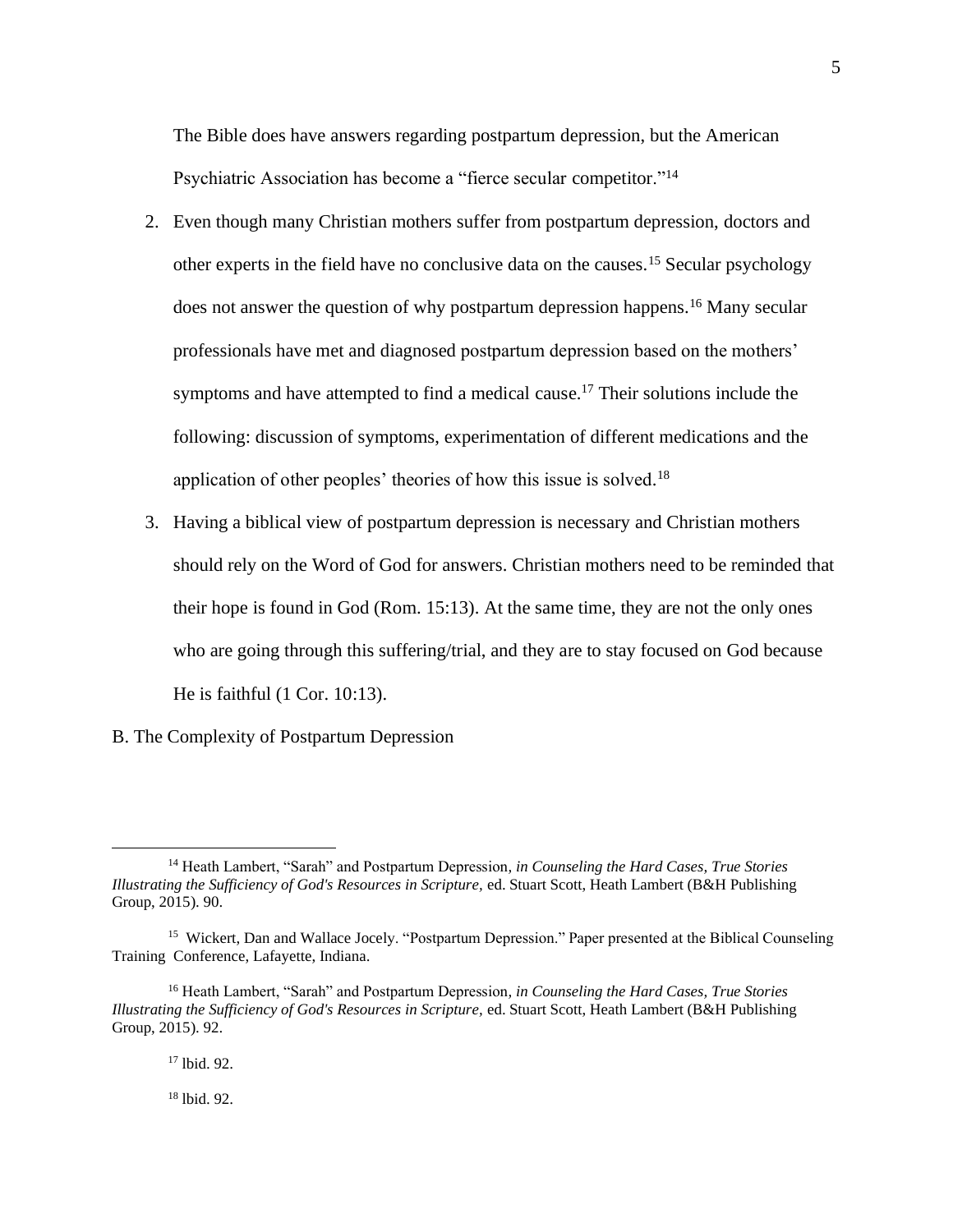The Bible does have answers regarding postpartum depression, but the American Psychiatric Association has become a "fierce secular competitor."<sup>14</sup>

- 2. Even though many Christian mothers suffer from postpartum depression, doctors and other experts in the field have no conclusive data on the causes.<sup>15</sup> Secular psychology does not answer the question of why postpartum depression happens.<sup>16</sup> Many secular professionals have met and diagnosed postpartum depression based on the mothers' symptoms and have attempted to find a medical cause.<sup>17</sup> Their solutions include the following: discussion of symptoms, experimentation of different medications and the application of other peoples' theories of how this issue is solved.<sup>18</sup>
- 3. Having a biblical view of postpartum depression is necessary and Christian mothers should rely on the Word of God for answers. Christian mothers need to be reminded that their hope is found in God (Rom. 15:13). At the same time, they are not the only ones who are going through this suffering/trial, and they are to stay focused on God because He is faithful (1 Cor. 10:13).
- B. The Complexity of Postpartum Depression

<sup>18</sup> lbid. 92.

<sup>14</sup> Heath Lambert, "Sarah" and Postpartum Depression*, in Counseling the Hard Cases, True Stories Illustrating the Sufficiency of God's Resources in Scripture,* ed. Stuart Scott, Heath Lambert (B&H Publishing Group, 2015). 90.

<sup>&</sup>lt;sup>15</sup> Wickert, Dan and Wallace Jocely. "Postpartum Depression." Paper presented at the Biblical Counseling Training Conference, Lafayette, Indiana.

<sup>16</sup> Heath Lambert, "Sarah" and Postpartum Depression*, in Counseling the Hard Cases, True Stories Illustrating the Sufficiency of God's Resources in Scripture,* ed. Stuart Scott, Heath Lambert (B&H Publishing Group, 2015). 92.

<sup>17</sup> lbid. 92.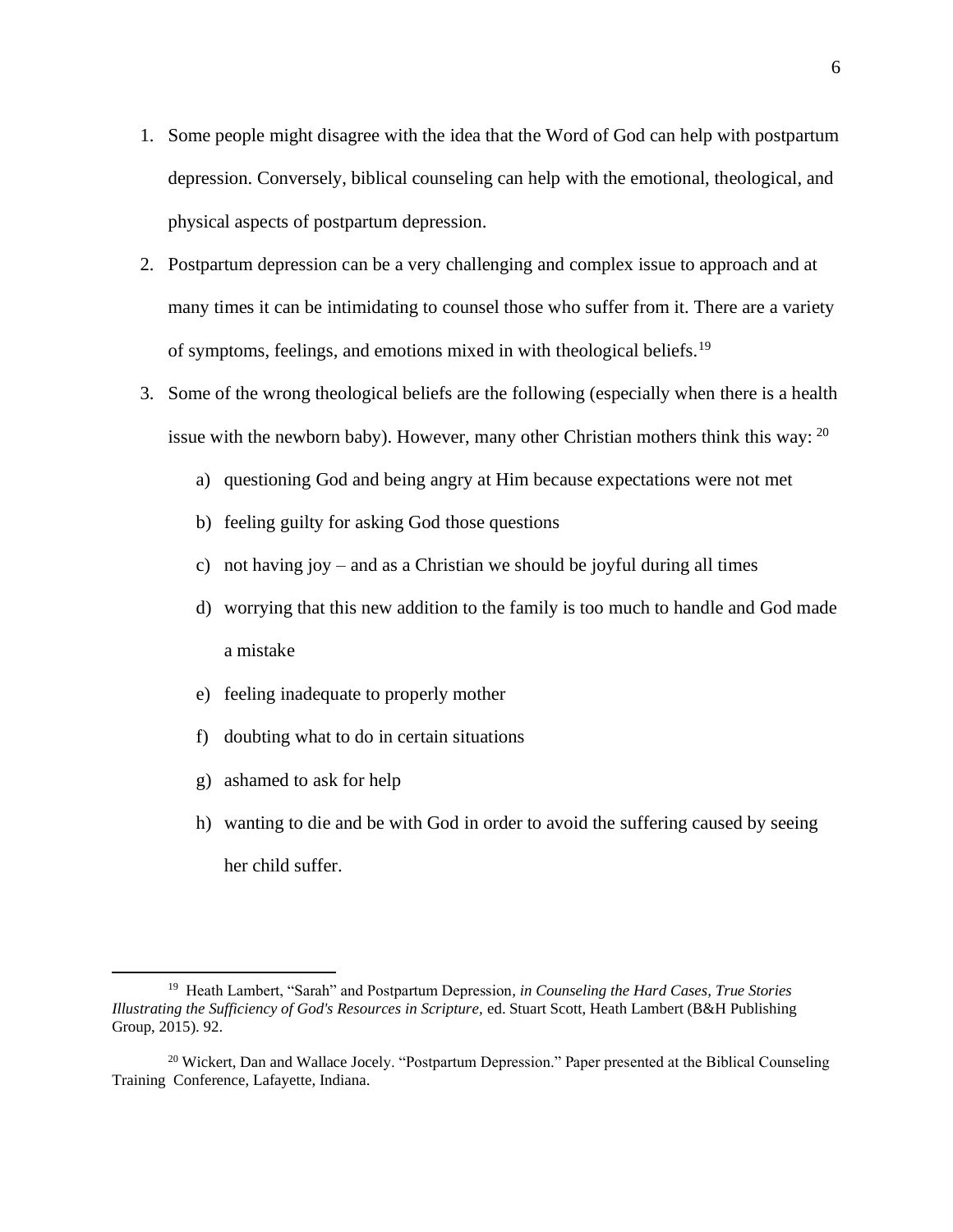- 1. Some people might disagree with the idea that the Word of God can help with postpartum depression. Conversely, biblical counseling can help with the emotional, theological, and physical aspects of postpartum depression.
- 2. Postpartum depression can be a very challenging and complex issue to approach and at many times it can be intimidating to counsel those who suffer from it. There are a variety of symptoms, feelings, and emotions mixed in with theological beliefs.<sup>19</sup>
- 3. Some of the wrong theological beliefs are the following (especially when there is a health issue with the newborn baby). However, many other Christian mothers think this way:  $^{20}$ 
	- a) questioning God and being angry at Him because expectations were not met
	- b) feeling guilty for asking God those questions
	- c) not having joy and as a Christian we should be joyful during all times
	- d) worrying that this new addition to the family is too much to handle and God made a mistake
	- e) feeling inadequate to properly mother
	- f) doubting what to do in certain situations
	- g) ashamed to ask for help
	- h) wanting to die and be with God in order to avoid the suffering caused by seeing her child suffer.

<sup>19</sup> Heath Lambert, "Sarah" and Postpartum Depression*, in Counseling the Hard Cases, True Stories Illustrating the Sufficiency of God's Resources in Scripture,* ed. Stuart Scott, Heath Lambert (B&H Publishing Group, 2015). 92.

<sup>&</sup>lt;sup>20</sup> Wickert, Dan and Wallace Jocely. "Postpartum Depression." Paper presented at the Biblical Counseling Training Conference, Lafayette, Indiana.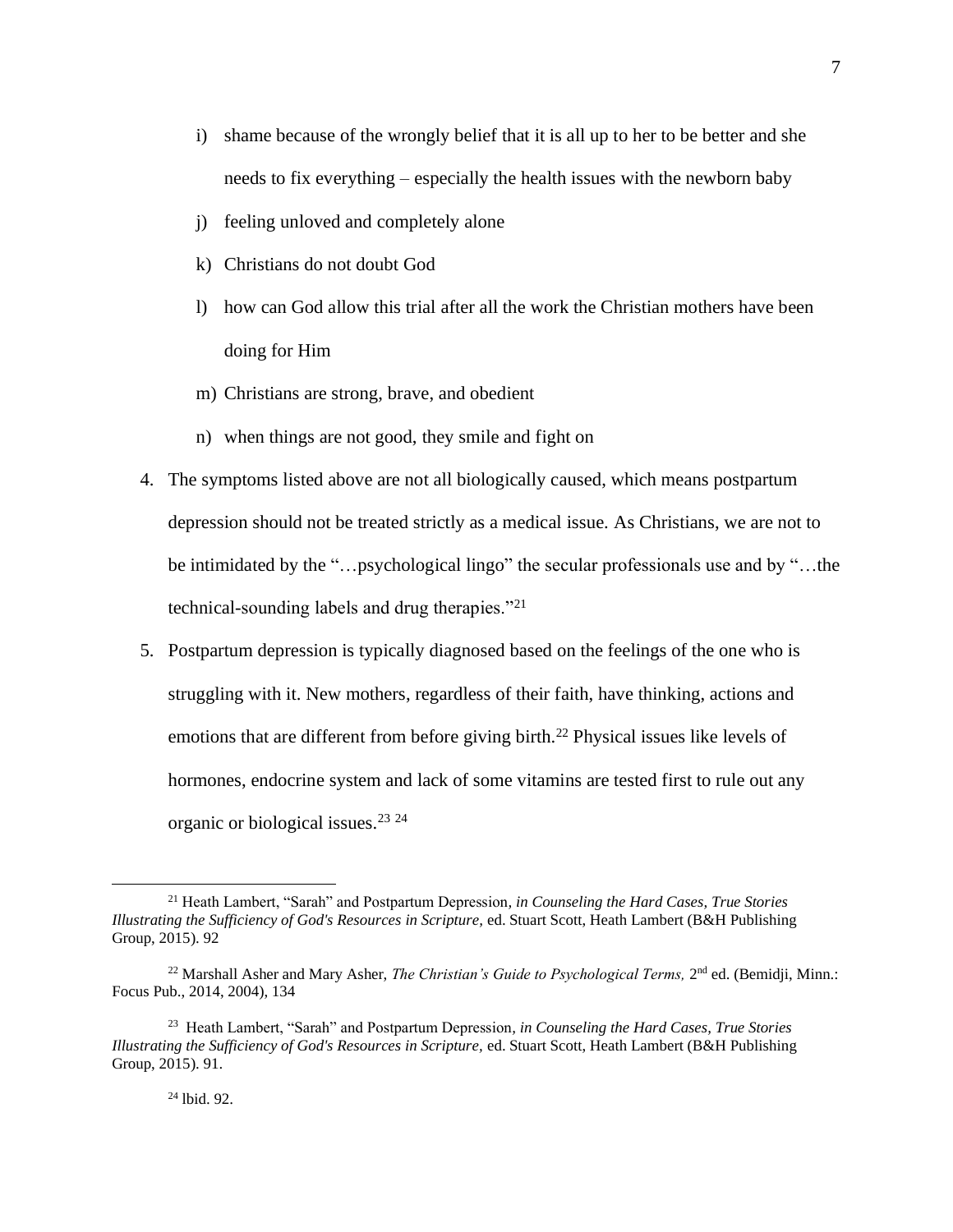- i) shame because of the wrongly belief that it is all up to her to be better and she needs to fix everything – especially the health issues with the newborn baby
- j) feeling unloved and completely alone
- k) Christians do not doubt God
- l) how can God allow this trial after all the work the Christian mothers have been doing for Him
- m) Christians are strong, brave, and obedient
- n) when things are not good, they smile and fight on
- 4. The symptoms listed above are not all biologically caused, which means postpartum depression should not be treated strictly as a medical issue. As Christians, we are not to be intimidated by the "…psychological lingo" the secular professionals use and by "…the technical-sounding labels and drug therapies."<sup>21</sup>
- 5. Postpartum depression is typically diagnosed based on the feelings of the one who is struggling with it. New mothers, regardless of their faith, have thinking, actions and emotions that are different from before giving birth.<sup>22</sup> Physical issues like levels of hormones, endocrine system and lack of some vitamins are tested first to rule out any organic or biological issues.<sup>23</sup> <sup>24</sup>

#### <sup>24</sup> lbid. 92.

<sup>21</sup> Heath Lambert, "Sarah" and Postpartum Depression*, in Counseling the Hard Cases, True Stories Illustrating the Sufficiency of God's Resources in Scripture,* ed. Stuart Scott, Heath Lambert (B&H Publishing Group, 2015). 92

<sup>&</sup>lt;sup>22</sup> Marshall Asher and Mary Asher, *The Christian's Guide to Psychological Terms*,  $2<sup>nd</sup>$  ed. (Bemidji, Minn.: Focus Pub., 2014, 2004), 134

<sup>23</sup> Heath Lambert, "Sarah" and Postpartum Depression*, in Counseling the Hard Cases, True Stories Illustrating the Sufficiency of God's Resources in Scripture,* ed. Stuart Scott, Heath Lambert (B&H Publishing Group, 2015). 91.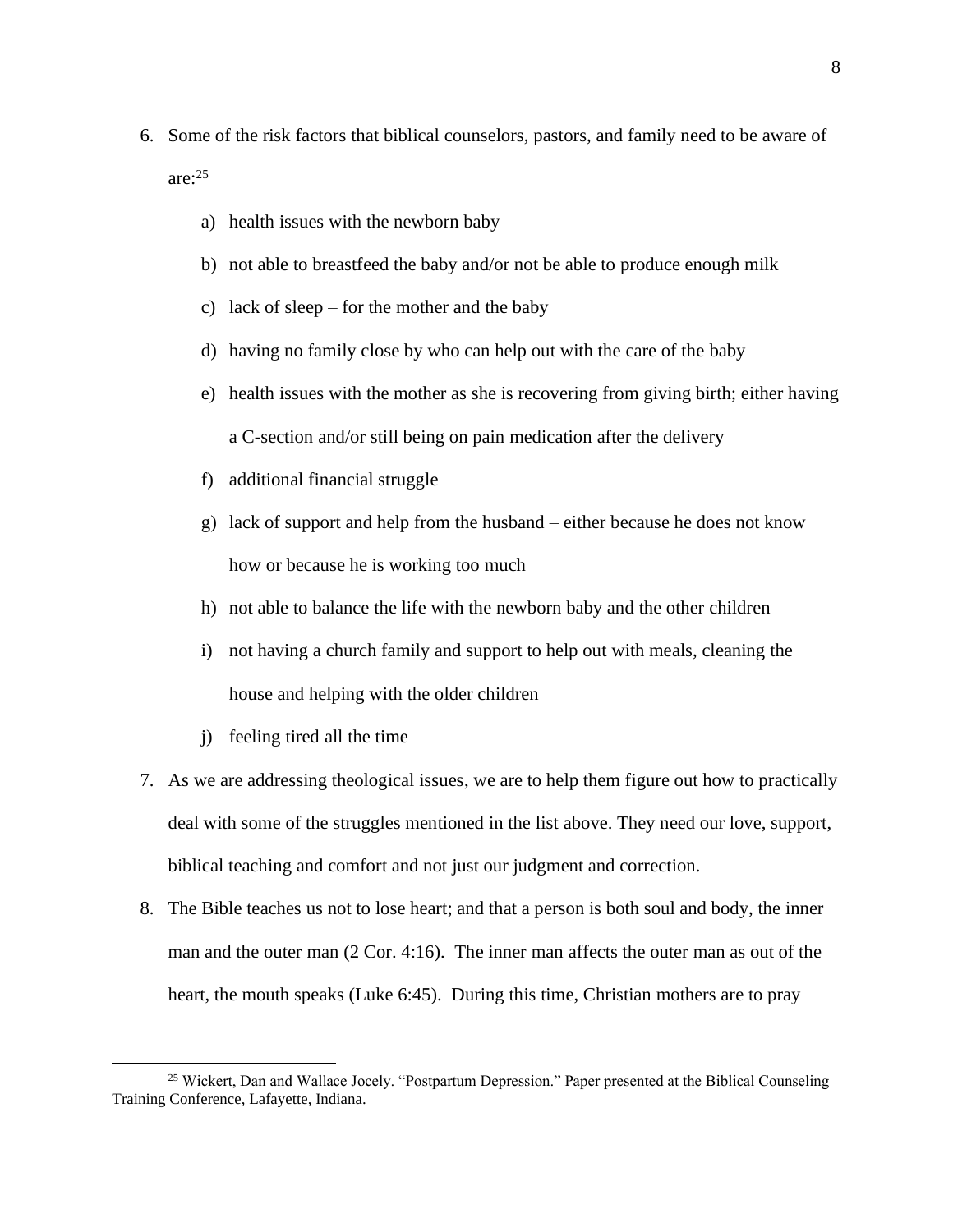- 6. Some of the risk factors that biblical counselors, pastors, and family need to be aware of are: 25
	- a) health issues with the newborn baby
	- b) not able to breastfeed the baby and/or not be able to produce enough milk
	- c) lack of sleep for the mother and the baby
	- d) having no family close by who can help out with the care of the baby
	- e) health issues with the mother as she is recovering from giving birth; either having a C-section and/or still being on pain medication after the delivery
	- f) additional financial struggle
	- g) lack of support and help from the husband either because he does not know how or because he is working too much
	- h) not able to balance the life with the newborn baby and the other children
	- i) not having a church family and support to help out with meals, cleaning the house and helping with the older children
	- j) feeling tired all the time
- 7. As we are addressing theological issues, we are to help them figure out how to practically deal with some of the struggles mentioned in the list above. They need our love, support, biblical teaching and comfort and not just our judgment and correction.
- 8. The Bible teaches us not to lose heart; and that a person is both soul and body, the inner man and the outer man (2 Cor. 4:16). The inner man affects the outer man as out of the heart, the mouth speaks (Luke 6:45). During this time, Christian mothers are to pray

<sup>&</sup>lt;sup>25</sup> Wickert, Dan and Wallace Jocely. "Postpartum Depression." Paper presented at the Biblical Counseling Training Conference, Lafayette, Indiana.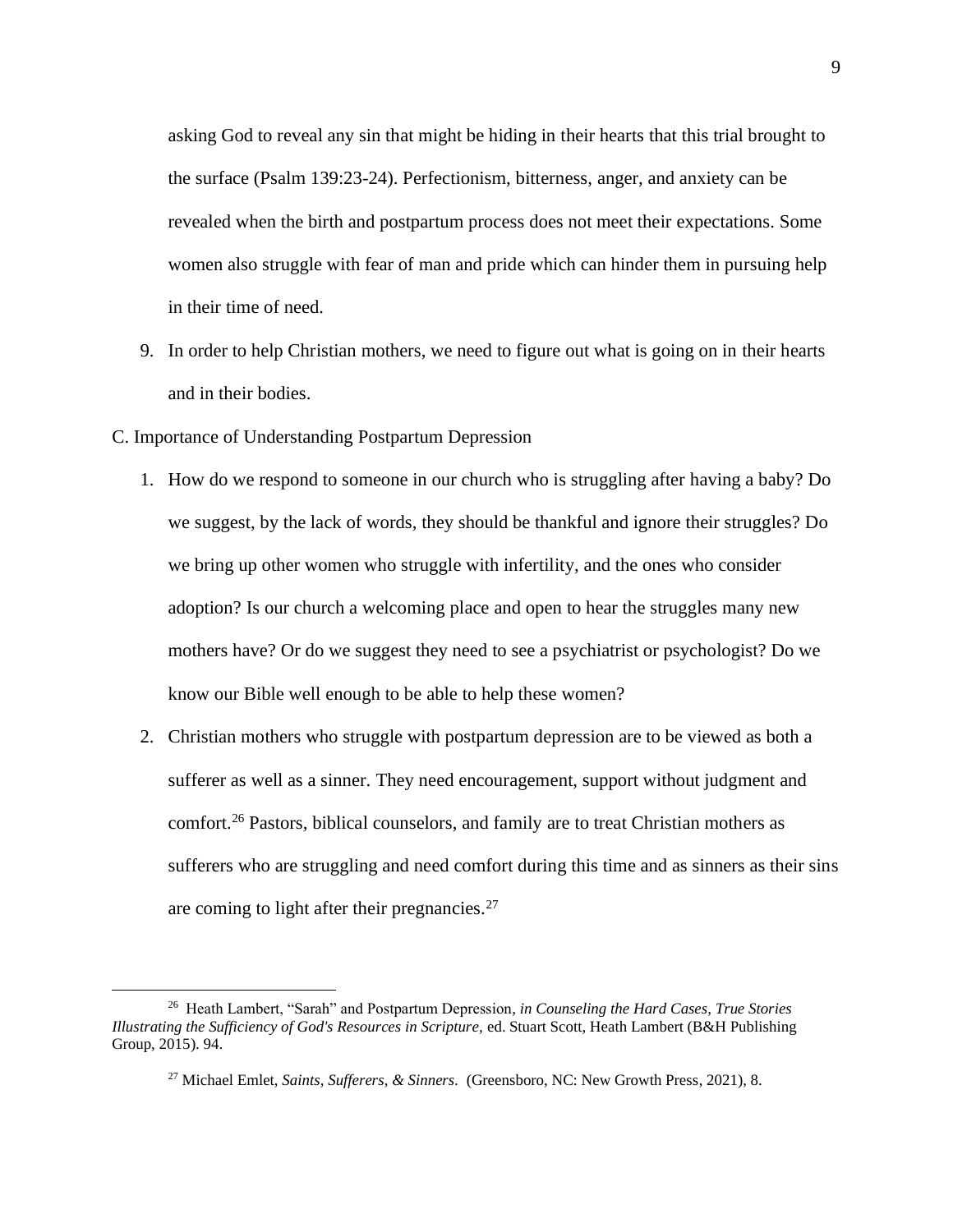asking God to reveal any sin that might be hiding in their hearts that this trial brought to the surface (Psalm 139:23-24). Perfectionism, bitterness, anger, and anxiety can be revealed when the birth and postpartum process does not meet their expectations. Some women also struggle with fear of man and pride which can hinder them in pursuing help in their time of need.

- 9. In order to help Christian mothers, we need to figure out what is going on in their hearts and in their bodies.
- C. Importance of Understanding Postpartum Depression
	- 1. How do we respond to someone in our church who is struggling after having a baby? Do we suggest, by the lack of words, they should be thankful and ignore their struggles? Do we bring up other women who struggle with infertility, and the ones who consider adoption? Is our church a welcoming place and open to hear the struggles many new mothers have? Or do we suggest they need to see a psychiatrist or psychologist? Do we know our Bible well enough to be able to help these women?
	- 2. Christian mothers who struggle with postpartum depression are to be viewed as both a sufferer as well as a sinner. They need encouragement, support without judgment and comfort.<sup>26</sup> Pastors, biblical counselors, and family are to treat Christian mothers as sufferers who are struggling and need comfort during this time and as sinners as their sins are coming to light after their pregnancies.<sup>27</sup>

<sup>26</sup> Heath Lambert, "Sarah" and Postpartum Depression*, in Counseling the Hard Cases, True Stories Illustrating the Sufficiency of God's Resources in Scripture,* ed. Stuart Scott, Heath Lambert (B&H Publishing Group, 2015). 94.

<sup>27</sup> Michael Emlet, *Saints, Sufferers, & Sinners.* (Greensboro, NC: New Growth Press, 2021), 8.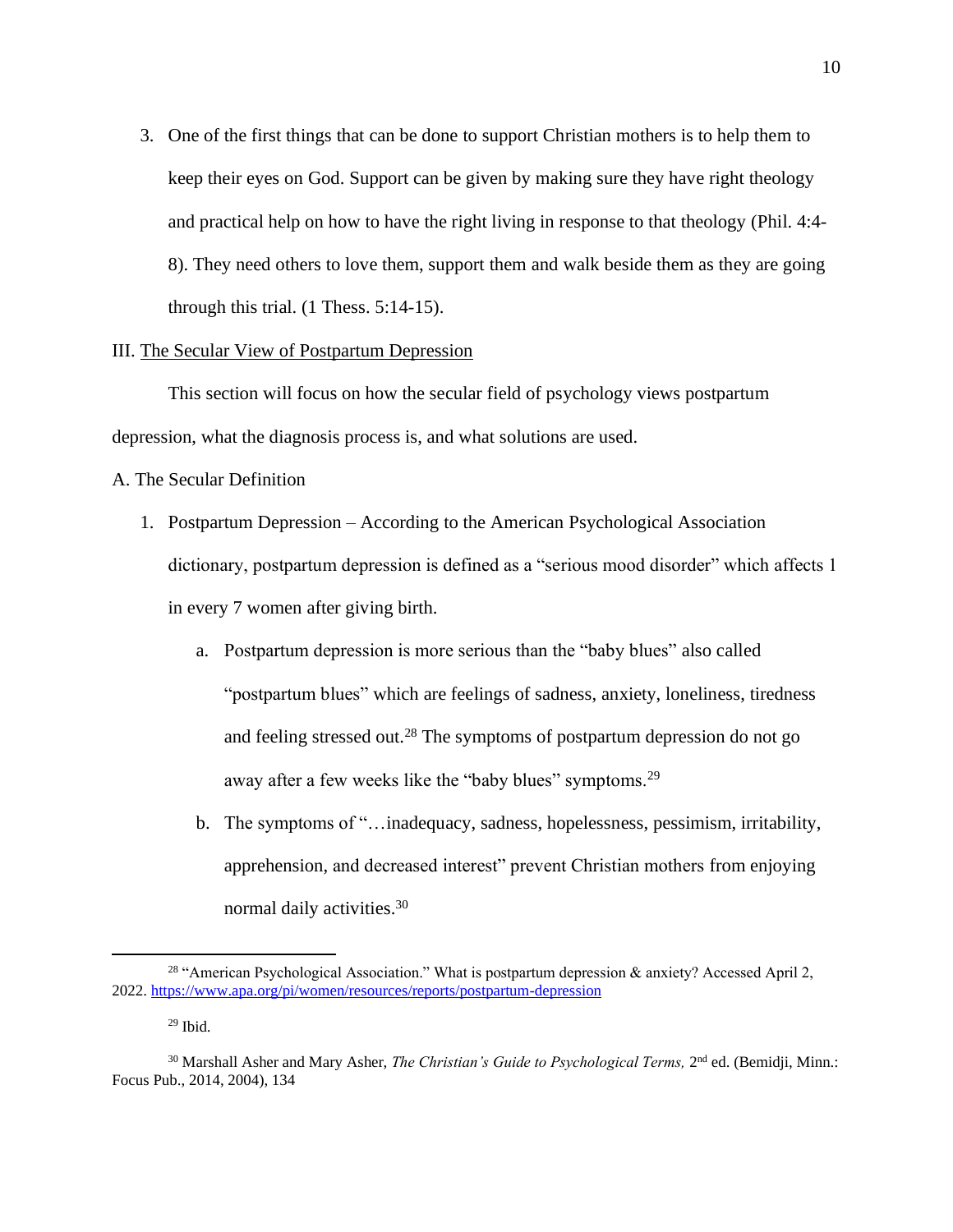3. One of the first things that can be done to support Christian mothers is to help them to keep their eyes on God. Support can be given by making sure they have right theology and practical help on how to have the right living in response to that theology (Phil. 4:4- 8). They need others to love them, support them and walk beside them as they are going through this trial. (1 Thess. 5:14-15).

### III. The Secular View of Postpartum Depression

This section will focus on how the secular field of psychology views postpartum depression, what the diagnosis process is, and what solutions are used.

A. The Secular Definition

- 1. Postpartum Depression According to the American Psychological Association dictionary, postpartum depression is defined as a "serious mood disorder" which affects 1 in every 7 women after giving birth.
	- a. Postpartum depression is more serious than the "baby blues" also called "postpartum blues" which are feelings of sadness, anxiety, loneliness, tiredness and feeling stressed out.<sup>28</sup> The symptoms of postpartum depression do not go away after a few weeks like the "baby blues" symptoms.<sup>29</sup>
	- b. The symptoms of "…inadequacy, sadness, hopelessness, pessimism, irritability, apprehension, and decreased interest" prevent Christian mothers from enjoying normal daily activities.<sup>30</sup>

<sup>&</sup>lt;sup>28</sup> "American Psychological Association." What is postpartum depression  $\&$  anxiety? Accessed April 2, 2022.<https://www.apa.org/pi/women/resources/reports/postpartum-depression>

 $29$  Ibid.

<sup>&</sup>lt;sup>30</sup> Marshall Asher and Mary Asher, *The Christian's Guide to Psychological Terms*, 2<sup>nd</sup> ed. (Bemidji, Minn.: Focus Pub., 2014, 2004), 134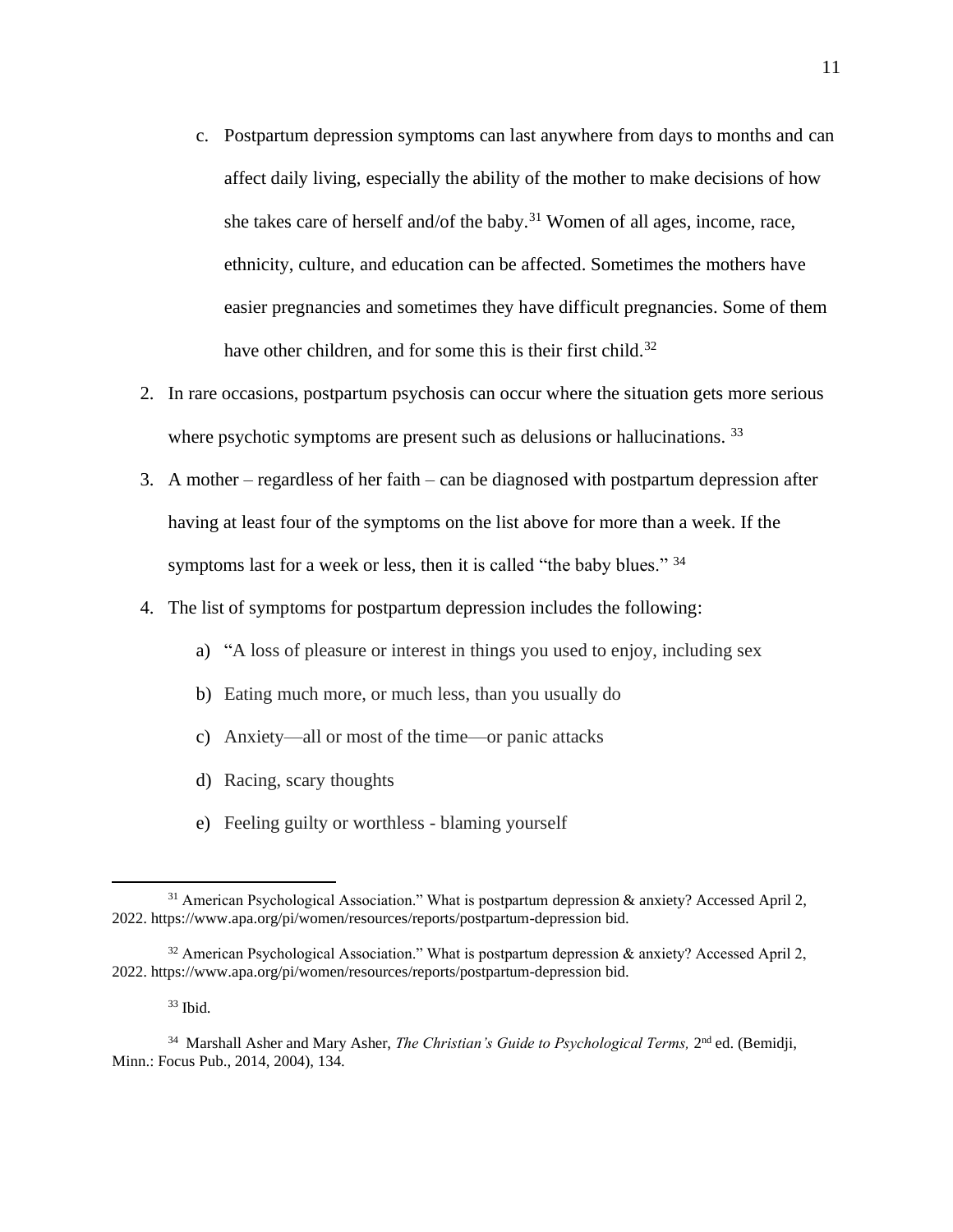- c. Postpartum depression symptoms can last anywhere from days to months and can affect daily living, especially the ability of the mother to make decisions of how she takes care of herself and/of the baby.<sup>31</sup> Women of all ages, income, race, ethnicity, culture, and education can be affected. Sometimes the mothers have easier pregnancies and sometimes they have difficult pregnancies. Some of them have other children, and for some this is their first child.<sup>32</sup>
- 2. In rare occasions, postpartum psychosis can occur where the situation gets more serious where psychotic symptoms are present such as delusions or hallucinations.<sup>33</sup>
- 3. A mother regardless of her faith can be diagnosed with postpartum depression after having at least four of the symptoms on the list above for more than a week. If the symptoms last for a week or less, then it is called "the baby blues." 34
- 4. The list of symptoms for postpartum depression includes the following:
	- a) "A loss of pleasure or interest in things you used to enjoy, including sex
	- b) Eating much more, or much less, than you usually do
	- c) Anxiety—all or most of the time—or panic attacks
	- d) Racing, scary thoughts
	- e) Feeling guilty or worthless blaming yourself

 $33$  Ibid.

 $31$  American Psychological Association." What is postpartum depression & anxiety? Accessed April 2, 2022. https://www.apa.org/pi/women/resources/reports/postpartum-depression bid.

<sup>&</sup>lt;sup>32</sup> American Psychological Association." What is postpartum depression & anxiety? Accessed April 2, 2022. https://www.apa.org/pi/women/resources/reports/postpartum-depression bid.

<sup>&</sup>lt;sup>34</sup> Marshall Asher and Mary Asher, *The Christian's Guide to Psychological Terms*, 2<sup>nd</sup> ed. (Bemidji, Minn.: Focus Pub., 2014, 2004), 134.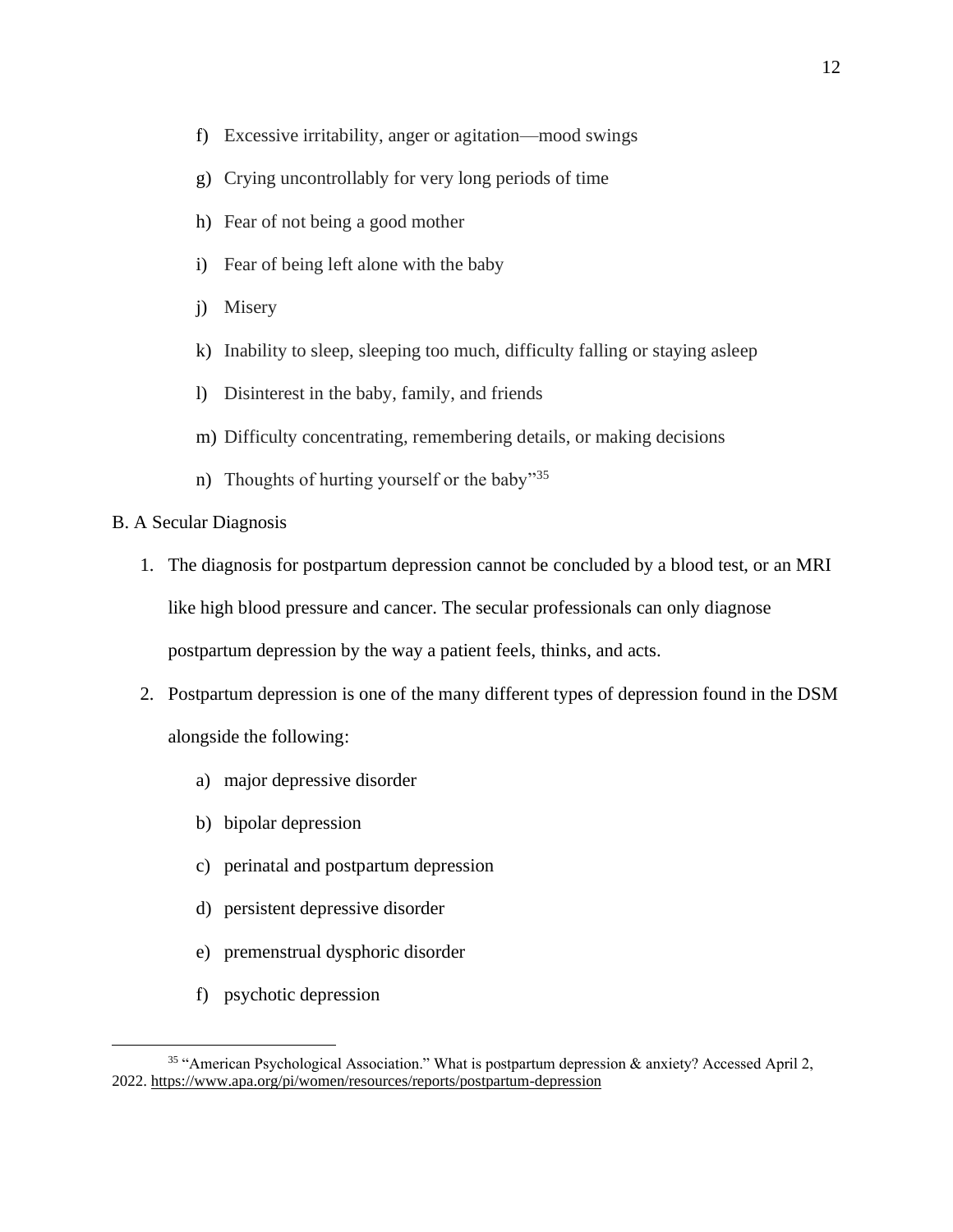- f) Excessive irritability, anger or agitation—mood swings
- g) Crying uncontrollably for very long periods of time
- h) Fear of not being a good mother
- i) Fear of being left alone with the baby
- j) Misery
- k) Inability to sleep, sleeping too much, difficulty falling or staying asleep
- l) Disinterest in the baby, family, and friends
- m) Difficulty concentrating, remembering details, or making decisions
- n) Thoughts of hurting yourself or the baby"<sup>35</sup>
- B. A Secular Diagnosis
	- 1. The diagnosis for postpartum depression cannot be concluded by a blood test, or an MRI like high blood pressure and cancer. The secular professionals can only diagnose postpartum depression by the way a patient feels, thinks, and acts.
	- 2. Postpartum depression is one of the many different types of depression found in the DSM alongside the following:
		- a) major depressive disorder
		- b) bipolar depression
		- c) perinatal and postpartum depression
		- d) persistent depressive disorder
		- e) premenstrual dysphoric disorder
		- f) psychotic depression

<sup>35</sup> "American Psychological Association." What is postpartum depression & anxiety? Accessed April 2, 2022.<https://www.apa.org/pi/women/resources/reports/postpartum-depression>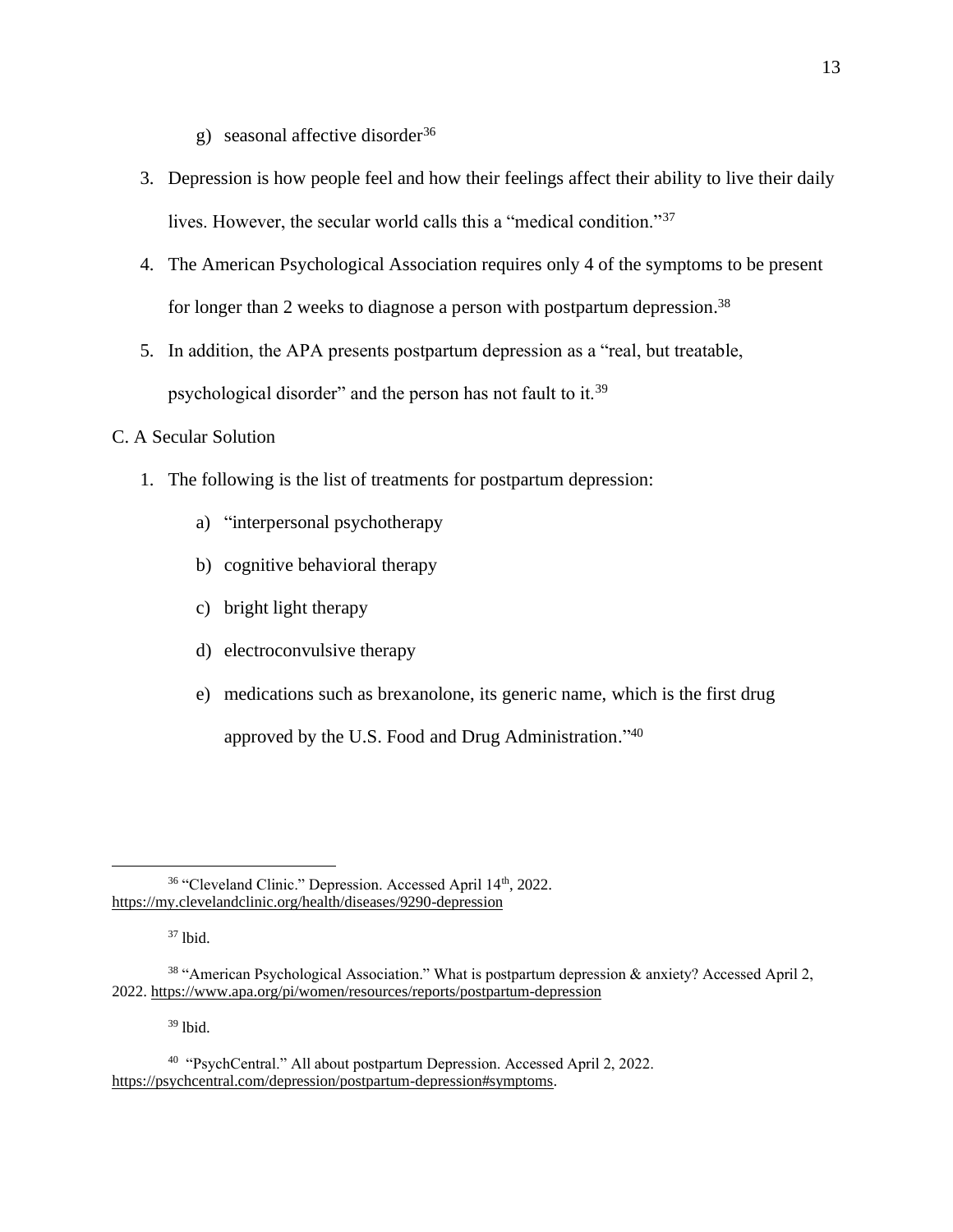- g) seasonal affective disorder<sup>36</sup>
- 3. Depression is how people feel and how their feelings affect their ability to live their daily lives. However, the secular world calls this a "medical condition."<sup>37</sup>
- 4. The American Psychological Association requires only 4 of the symptoms to be present for longer than 2 weeks to diagnose a person with postpartum depression.<sup>38</sup>
- 5. In addition, the APA presents postpartum depression as a "real, but treatable, psychological disorder" and the person has not fault to it.<sup>39</sup>

### C. A Secular Solution

- 1. The following is the list of treatments for postpartum depression:
	- a) "interpersonal psychotherapy
	- b) cognitive behavioral therapy
	- c) bright light therapy
	- d) electroconvulsive therapy
	- e) medications such as brexanolone, its generic name, which is the first drug approved by the U.S. Food and Drug Administration."<sup>40</sup>

<sup>37</sup> lbid.

 $39$  lbid.

<sup>&</sup>lt;sup>36</sup> "Cleveland Clinic." Depression. Accessed April 14<sup>th</sup>, 2022. <https://my.clevelandclinic.org/health/diseases/9290-depression>

<sup>&</sup>lt;sup>38</sup> "American Psychological Association." What is postpartum depression & anxiety? Accessed April 2, 2022.<https://www.apa.org/pi/women/resources/reports/postpartum-depression>

<sup>&</sup>lt;sup>40</sup> "PsychCentral." All about postpartum Depression. Accessed April 2, 2022. [https://psychcentral.com/depression/postpartum-depression#symptoms.](https://psychcentral.com/depression/postpartum-depression#symptoms)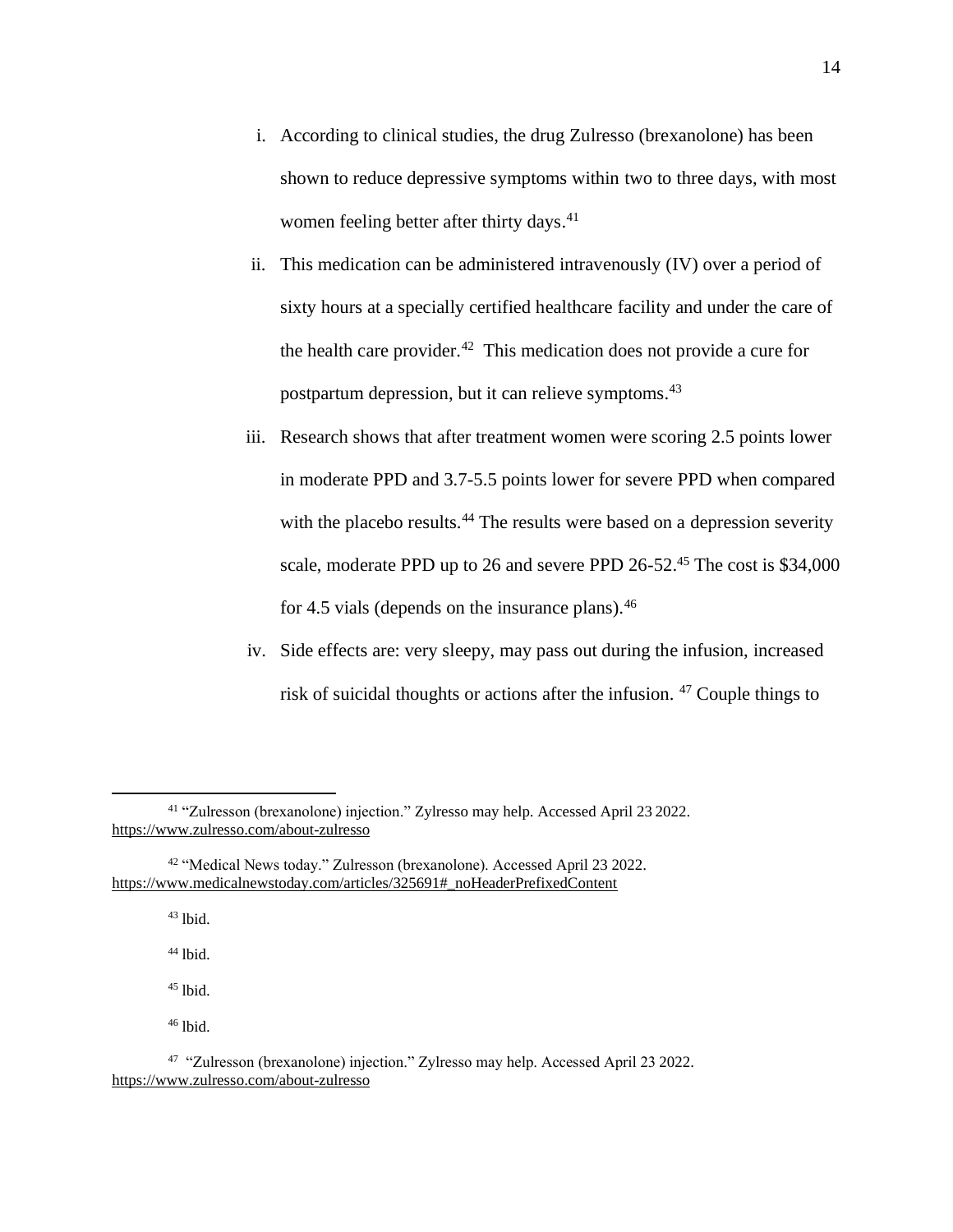- i. According to clinical studies, the drug Zulresso (brexanolone) has been shown to reduce depressive symptoms within two to three days, with most women feeling better after thirty days.<sup>41</sup>
- ii. This medication can be administered intravenously (IV) over a period of sixty hours at a specially certified healthcare facility and under the care of the health care provider. $42$  This medication does not provide a cure for postpartum depression, but it can relieve symptoms. 43
- iii. Research shows that after treatment women were scoring 2.5 points lower in moderate PPD and 3.7-5.5 points lower for severe PPD when compared with the placebo results.<sup>44</sup> The results were based on a depression severity scale, moderate PPD up to 26 and severe PPD 26-52.<sup>45</sup> The cost is \$34,000 for 4.5 vials (depends on the insurance plans).  $46$
- iv. Side effects are: very sleepy, may pass out during the infusion, increased risk of suicidal thoughts or actions after the infusion. <sup>47</sup> Couple things to

 $43$  lbid.

<sup>44</sup> lbid.

<sup>45</sup> lbid.

 $46$  lbid.

<sup>41</sup> "Zulresson (brexanolone) injection." Zylresso may help. Accessed April 23 2022. <https://www.zulresso.com/about-zulresso>

<sup>42</sup> "Medical News today." Zulresson (brexanolone). Accessed April 23 2022. [https://www.medicalnewstoday.com/articles/325691#\\_noHeaderPrefixedContent](https://www.medicalnewstoday.com/articles/325691#_noHeaderPrefixedContent)

<sup>&</sup>lt;sup>47</sup> "Zulresson (brexanolone) injection." Zylresso may help. Accessed April 23 2022. <https://www.zulresso.com/about-zulresso>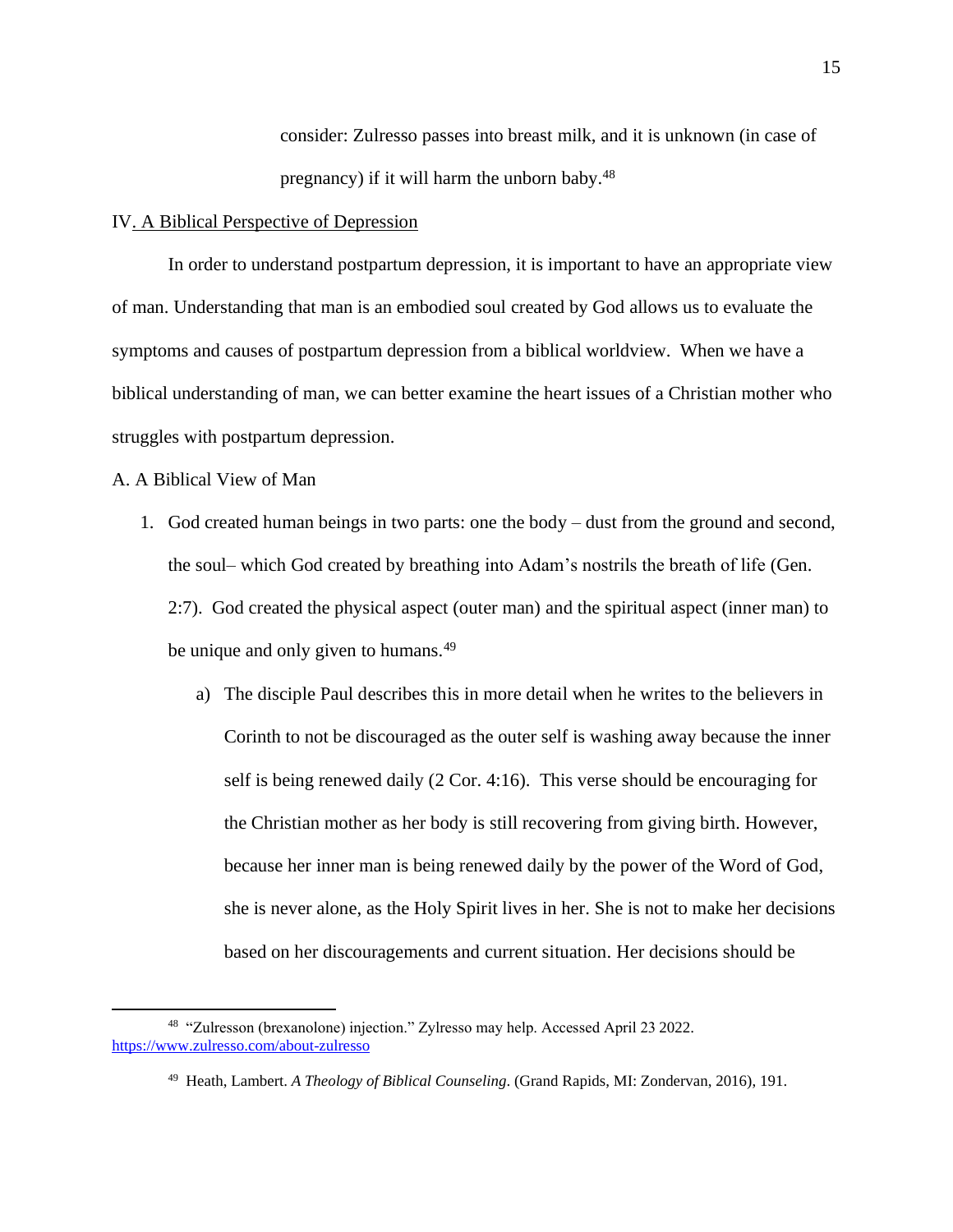consider: Zulresso passes into breast milk, and it is unknown (in case of pregnancy) if it will harm the unborn baby.<sup>48</sup>

#### IV. A Biblical Perspective of Depression

In order to understand postpartum depression, it is important to have an appropriate view of man. Understanding that man is an embodied soul created by God allows us to evaluate the symptoms and causes of postpartum depression from a biblical worldview. When we have a biblical understanding of man, we can better examine the heart issues of a Christian mother who struggles with postpartum depression.

A. A Biblical View of Man

- 1. God created human beings in two parts: one the body dust from the ground and second, the soul– which God created by breathing into Adam's nostrils the breath of life (Gen. 2:7). God created the physical aspect (outer man) and the spiritual aspect (inner man) to be unique and only given to humans.<sup>49</sup>
	- a) The disciple Paul describes this in more detail when he writes to the believers in Corinth to not be discouraged as the outer self is washing away because the inner self is being renewed daily (2 Cor. 4:16). This verse should be encouraging for the Christian mother as her body is still recovering from giving birth. However, because her inner man is being renewed daily by the power of the Word of God, she is never alone, as the Holy Spirit lives in her. She is not to make her decisions based on her discouragements and current situation. Her decisions should be

<sup>48</sup> "Zulresson (brexanolone) injection." Zylresso may help. Accessed April 23 2022. <https://www.zulresso.com/about-zulresso>

<sup>49</sup> Heath, Lambert. *A Theology of Biblical Counseling*. (Grand Rapids, MI: Zondervan, 2016), 191.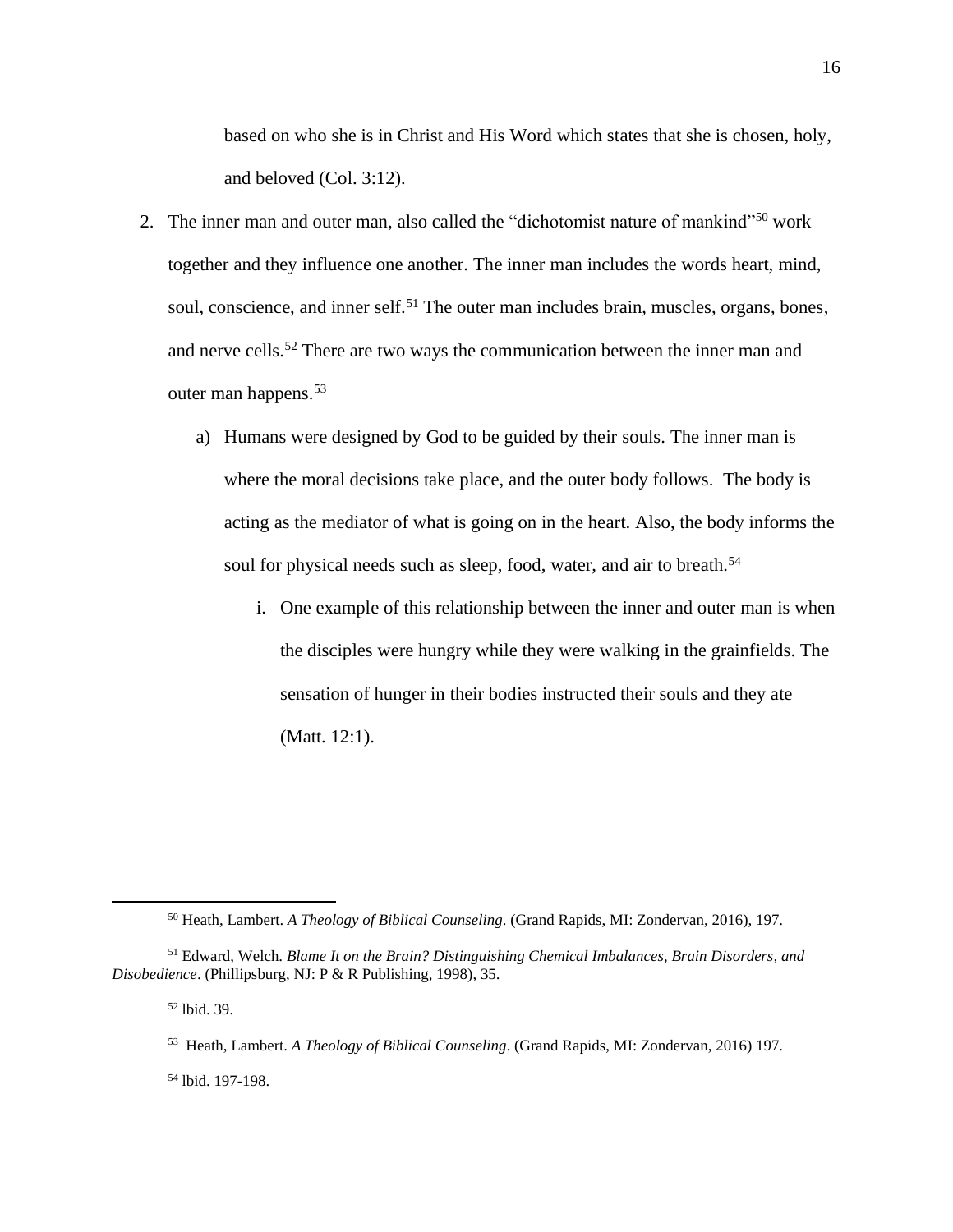based on who she is in Christ and His Word which states that she is chosen, holy, and beloved (Col. 3:12).

- 2. The inner man and outer man, also called the "dichotomist nature of mankind"<sup>50</sup> work together and they influence one another. The inner man includes the words heart, mind, soul, conscience, and inner self.<sup>51</sup> The outer man includes brain, muscles, organs, bones, and nerve cells.<sup>52</sup> There are two ways the communication between the inner man and outer man happens.<sup>53</sup>
	- a) Humans were designed by God to be guided by their souls. The inner man is where the moral decisions take place, and the outer body follows. The body is acting as the mediator of what is going on in the heart. Also, the body informs the soul for physical needs such as sleep, food, water, and air to breath.<sup>54</sup>
		- i. One example of this relationship between the inner and outer man is when the disciples were hungry while they were walking in the grainfields. The sensation of hunger in their bodies instructed their souls and they ate (Matt. 12:1).

<sup>50</sup> Heath, Lambert. *A Theology of Biblical Counseling*. (Grand Rapids, MI: Zondervan, 2016), 197.

<sup>51</sup> Edward, Welch. *Blame It on the Brain? Distinguishing Chemical Imbalances, Brain Disorders, and Disobedience*. (Phillipsburg, NJ: P & R Publishing, 1998), 35.

<sup>52</sup> lbid. 39.

<sup>53</sup> Heath, Lambert. *A Theology of Biblical Counseling*. (Grand Rapids, MI: Zondervan, 2016) 197.

<sup>54</sup> lbid. 197-198.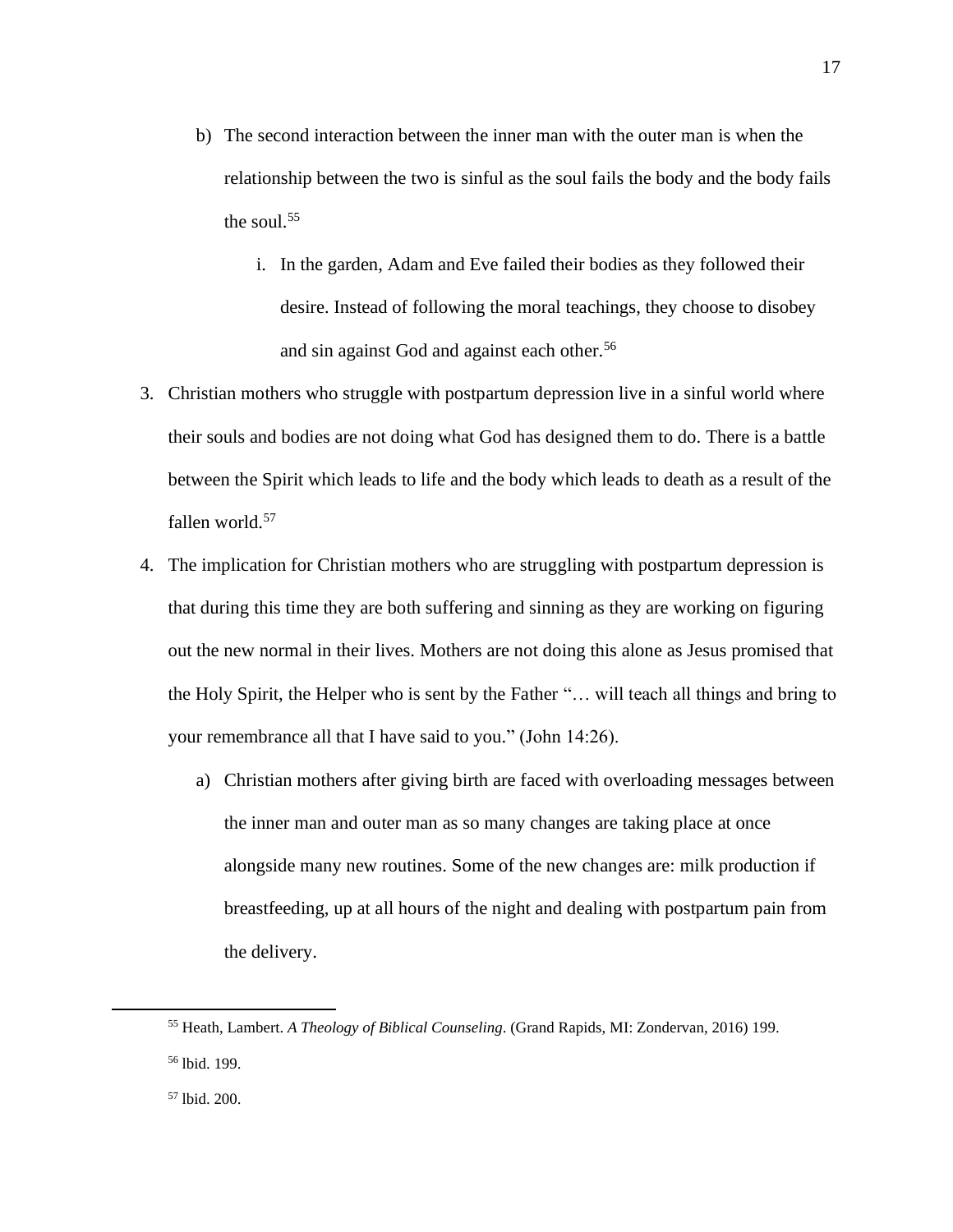- b) The second interaction between the inner man with the outer man is when the relationship between the two is sinful as the soul fails the body and the body fails the soul. 55
	- i. In the garden, Adam and Eve failed their bodies as they followed their desire. Instead of following the moral teachings, they choose to disobey and sin against God and against each other.<sup>56</sup>
- 3. Christian mothers who struggle with postpartum depression live in a sinful world where their souls and bodies are not doing what God has designed them to do. There is a battle between the Spirit which leads to life and the body which leads to death as a result of the fallen world.<sup>57</sup>
- 4. The implication for Christian mothers who are struggling with postpartum depression is that during this time they are both suffering and sinning as they are working on figuring out the new normal in their lives. Mothers are not doing this alone as Jesus promised that the Holy Spirit, the Helper who is sent by the Father "… will teach all things and bring to your remembrance all that I have said to you." (John 14:26).
	- a) Christian mothers after giving birth are faced with overloading messages between the inner man and outer man as so many changes are taking place at once alongside many new routines. Some of the new changes are: milk production if breastfeeding, up at all hours of the night and dealing with postpartum pain from the delivery.

<sup>55</sup> Heath, Lambert. *A Theology of Biblical Counseling*. (Grand Rapids, MI: Zondervan, 2016) 199. <sup>56</sup> lbid. 199.

<sup>57</sup> lbid. 200.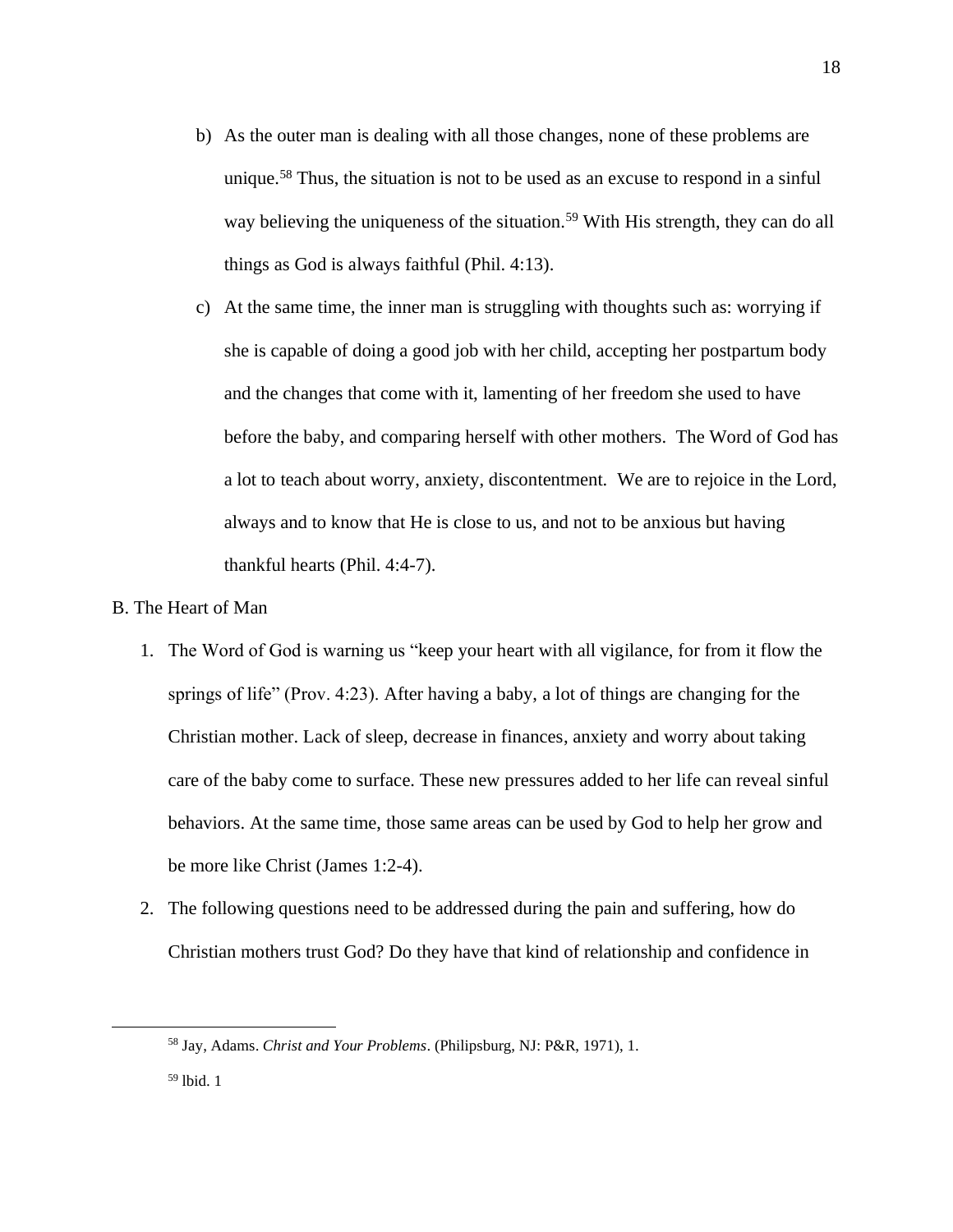- b) As the outer man is dealing with all those changes, none of these problems are unique.<sup>58</sup> Thus, the situation is not to be used as an excuse to respond in a sinful way believing the uniqueness of the situation.<sup>59</sup> With His strength, they can do all things as God is always faithful (Phil. 4:13).
- c) At the same time, the inner man is struggling with thoughts such as: worrying if she is capable of doing a good job with her child, accepting her postpartum body and the changes that come with it, lamenting of her freedom she used to have before the baby, and comparing herself with other mothers. The Word of God has a lot to teach about worry, anxiety, discontentment. We are to rejoice in the Lord, always and to know that He is close to us, and not to be anxious but having thankful hearts (Phil. 4:4-7).

### B. The Heart of Man

- 1. The Word of God is warning us "keep your heart with all vigilance, for from it flow the springs of life" (Prov. 4:23). After having a baby, a lot of things are changing for the Christian mother. Lack of sleep, decrease in finances, anxiety and worry about taking care of the baby come to surface. These new pressures added to her life can reveal sinful behaviors. At the same time, those same areas can be used by God to help her grow and be more like Christ (James 1:2-4).
- 2. The following questions need to be addressed during the pain and suffering, how do Christian mothers trust God? Do they have that kind of relationship and confidence in

<sup>58</sup> Jay, Adams. *Christ and Your Problems*. (Philipsburg, NJ: P&R, 1971), 1.

 $59$  lbid. 1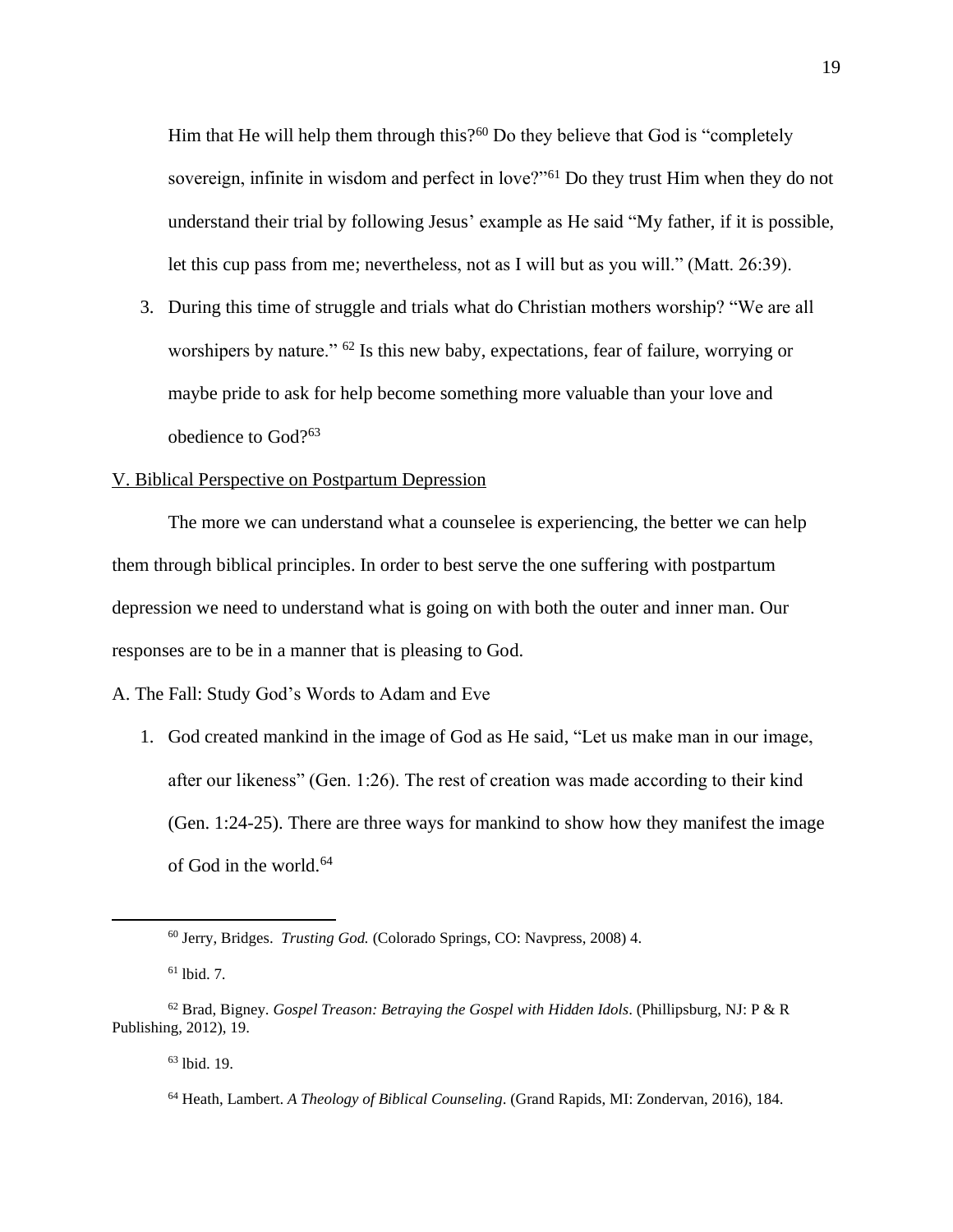Him that He will help them through this?<sup>60</sup> Do they believe that God is "completely sovereign, infinite in wisdom and perfect in love?"<sup>61</sup> Do they trust Him when they do not understand their trial by following Jesus' example as He said "My father, if it is possible, let this cup pass from me; nevertheless, not as I will but as you will." (Matt. 26:39).

3. During this time of struggle and trials what do Christian mothers worship? "We are all worshipers by nature." <sup>62</sup> Is this new baby, expectations, fear of failure, worrying or maybe pride to ask for help become something more valuable than your love and obedience to God?<sup>63</sup>

### V. Biblical Perspective on Postpartum Depression

The more we can understand what a counselee is experiencing, the better we can help them through biblical principles. In order to best serve the one suffering with postpartum depression we need to understand what is going on with both the outer and inner man. Our responses are to be in a manner that is pleasing to God.

A. The Fall: Study God's Words to Adam and Eve

1. God created mankind in the image of God as He said, "Let us make man in our image, after our likeness" (Gen. 1:26). The rest of creation was made according to their kind (Gen. 1:24-25). There are three ways for mankind to show how they manifest the image of God in the world.<sup>64</sup>

<sup>63</sup> lbid. 19.

<sup>60</sup> Jerry, Bridges. *Trusting God.* (Colorado Springs, CO: Navpress, 2008) 4.

 $61$  lbid. 7.

<sup>62</sup> Brad, Bigney. *Gospel Treason: Betraying the Gospel with Hidden Idols*. (Phillipsburg, NJ: P & R Publishing, 2012), 19.

<sup>64</sup> Heath, Lambert. *A Theology of Biblical Counseling*. (Grand Rapids, MI: Zondervan, 2016), 184.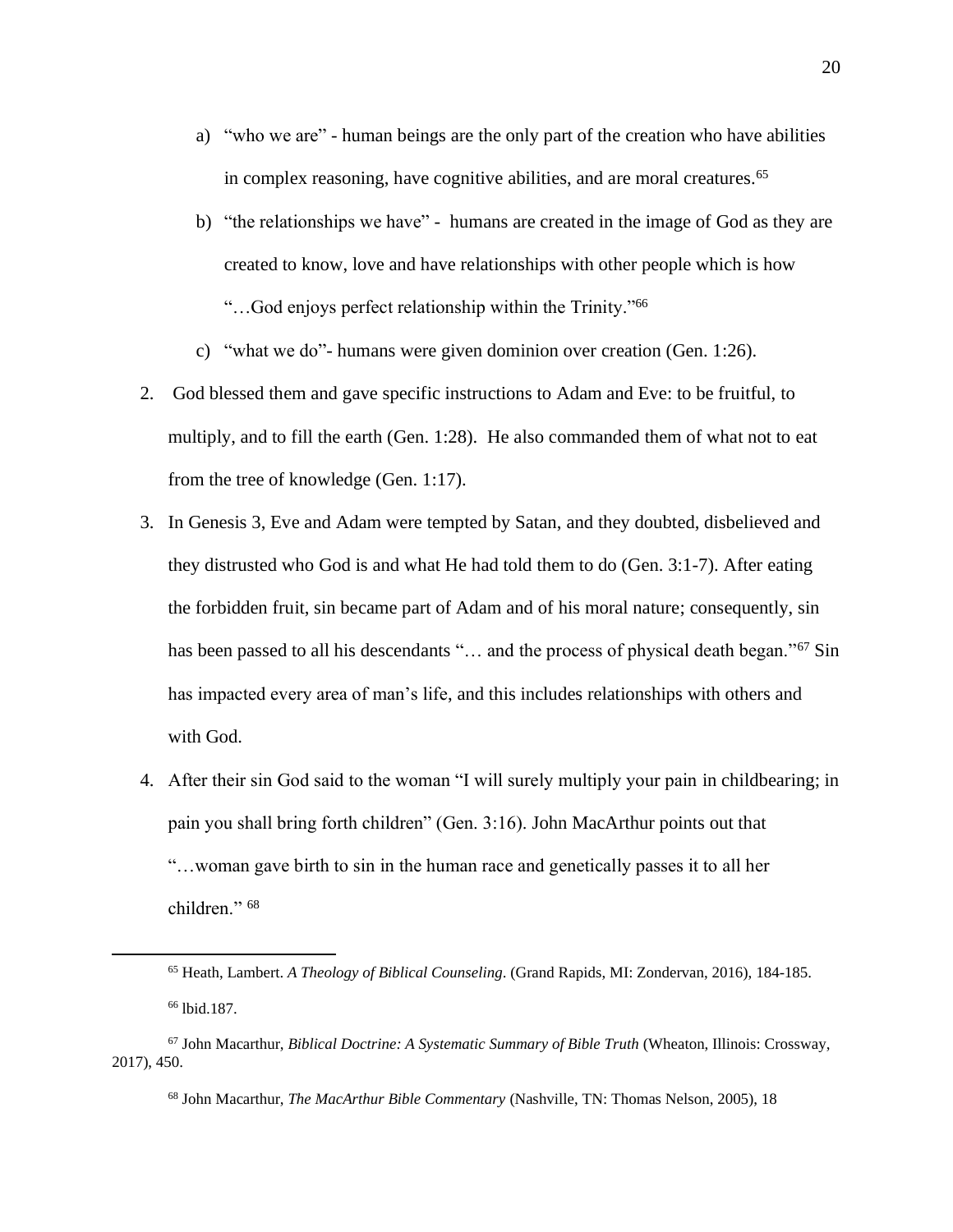- a) "who we are" human beings are the only part of the creation who have abilities in complex reasoning, have cognitive abilities, and are moral creatures.<sup>65</sup>
- b) "the relationships we have" humans are created in the image of God as they are created to know, love and have relationships with other people which is how "…God enjoys perfect relationship within the Trinity."<sup>66</sup>
- c) "what we do"- humans were given dominion over creation (Gen. 1:26).
- 2. God blessed them and gave specific instructions to Adam and Eve: to be fruitful, to multiply, and to fill the earth (Gen. 1:28). He also commanded them of what not to eat from the tree of knowledge (Gen. 1:17).
- 3. In Genesis 3, Eve and Adam were tempted by Satan, and they doubted, disbelieved and they distrusted who God is and what He had told them to do (Gen. 3:1-7). After eating the forbidden fruit, sin became part of Adam and of his moral nature; consequently, sin has been passed to all his descendants "... and the process of physical death began."<sup>67</sup> Sin has impacted every area of man's life, and this includes relationships with others and with God.
- 4. After their sin God said to the woman "I will surely multiply your pain in childbearing; in pain you shall bring forth children" (Gen. 3:16). John MacArthur points out that "…woman gave birth to sin in the human race and genetically passes it to all her children." <sup>68</sup>

<sup>65</sup> Heath, Lambert. *A Theology of Biblical Counseling*. (Grand Rapids, MI: Zondervan, 2016), 184-185. <sup>66</sup> lbid.187.

<sup>67</sup> John Macarthur, *Biblical Doctrine: A Systematic Summary of Bible Truth* (Wheaton, Illinois: Crossway, 2017), 450.

<sup>68</sup> John Macarthur, *The MacArthur Bible Commentary* (Nashville, TN: Thomas Nelson, 2005), 18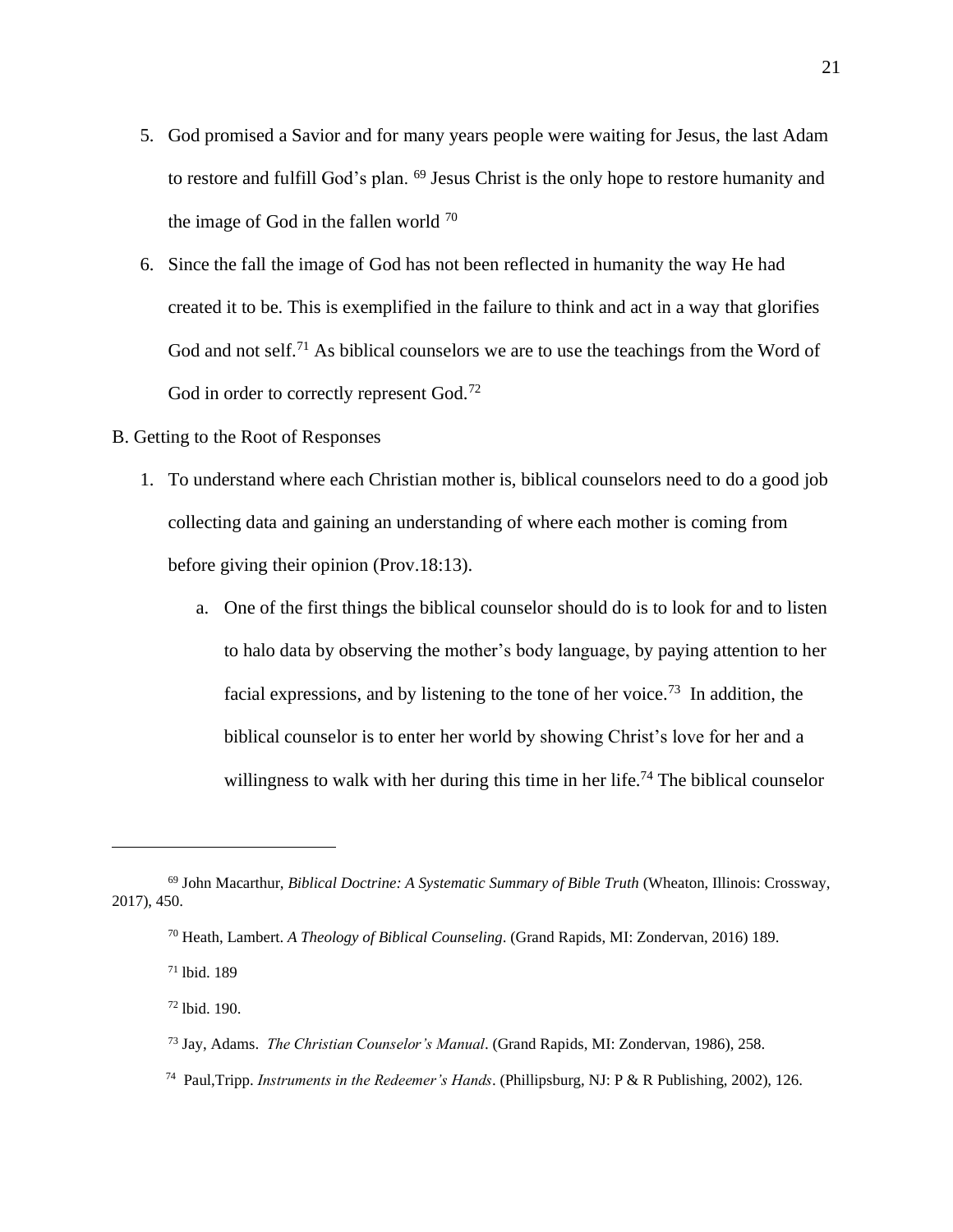- 5. God promised a Savior and for many years people were waiting for Jesus, the last Adam to restore and fulfill God's plan. <sup>69</sup> Jesus Christ is the only hope to restore humanity and the image of God in the fallen world  $70$
- 6. Since the fall the image of God has not been reflected in humanity the way He had created it to be. This is exemplified in the failure to think and act in a way that glorifies God and not self.<sup>71</sup> As biblical counselors we are to use the teachings from the Word of God in order to correctly represent God.<sup>72</sup>
- B. Getting to the Root of Responses
	- 1. To understand where each Christian mother is, biblical counselors need to do a good job collecting data and gaining an understanding of where each mother is coming from before giving their opinion (Prov.18:13).
		- a. One of the first things the biblical counselor should do is to look for and to listen to halo data by observing the mother's body language, by paying attention to her facial expressions, and by listening to the tone of her voice.<sup>73</sup> In addition, the biblical counselor is to enter her world by showing Christ's love for her and a willingness to walk with her during this time in her life.<sup>74</sup> The biblical counselor

- <sup>73</sup> Jay, Adams. *The Christian Counselor's Manual*. (Grand Rapids, MI: Zondervan, 1986), 258.
- 74 Paul,Tripp. *Instruments in the Redeemer's Hands*. (Phillipsburg, NJ: P & R Publishing, 2002), 126.

<sup>69</sup> John Macarthur, *Biblical Doctrine: A Systematic Summary of Bible Truth* (Wheaton, Illinois: Crossway, 2017), 450.

<sup>70</sup> Heath, Lambert. *A Theology of Biblical Counseling*. (Grand Rapids, MI: Zondervan, 2016) 189.

<sup>71</sup> lbid. 189

<sup>72</sup> lbid. 190.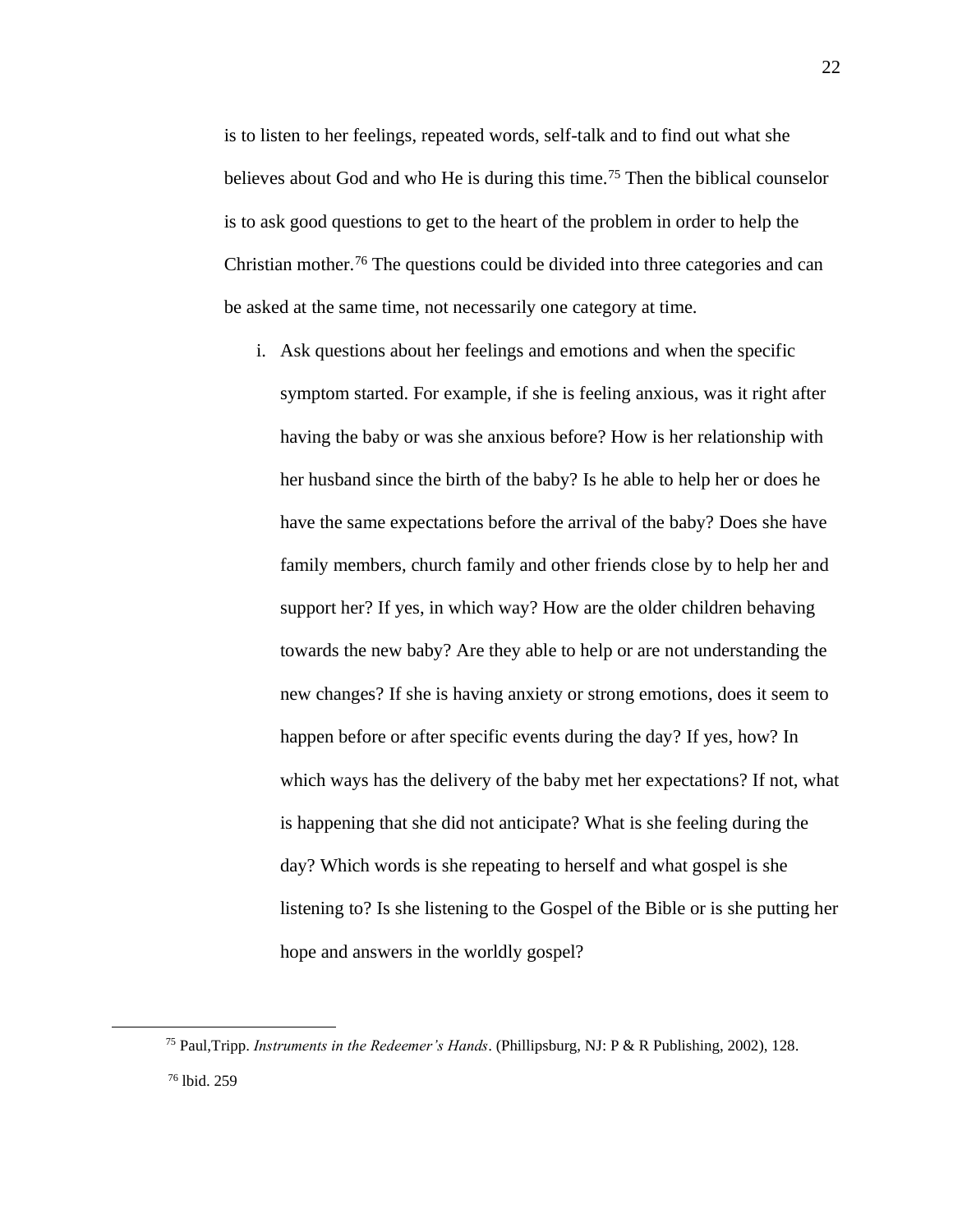is to listen to her feelings, repeated words, self-talk and to find out what she believes about God and who He is during this time.<sup>75</sup> Then the biblical counselor is to ask good questions to get to the heart of the problem in order to help the Christian mother.<sup>76</sup> The questions could be divided into three categories and can be asked at the same time, not necessarily one category at time.

i. Ask questions about her feelings and emotions and when the specific symptom started. For example, if she is feeling anxious, was it right after having the baby or was she anxious before? How is her relationship with her husband since the birth of the baby? Is he able to help her or does he have the same expectations before the arrival of the baby? Does she have family members, church family and other friends close by to help her and support her? If yes, in which way? How are the older children behaving towards the new baby? Are they able to help or are not understanding the new changes? If she is having anxiety or strong emotions, does it seem to happen before or after specific events during the day? If yes, how? In which ways has the delivery of the baby met her expectations? If not, what is happening that she did not anticipate? What is she feeling during the day? Which words is she repeating to herself and what gospel is she listening to? Is she listening to the Gospel of the Bible or is she putting her hope and answers in the worldly gospel?

<sup>75</sup> Paul,Tripp. *Instruments in the Redeemer's Hands*. (Phillipsburg, NJ: P & R Publishing, 2002), 128. <sup>76</sup> lbid. 259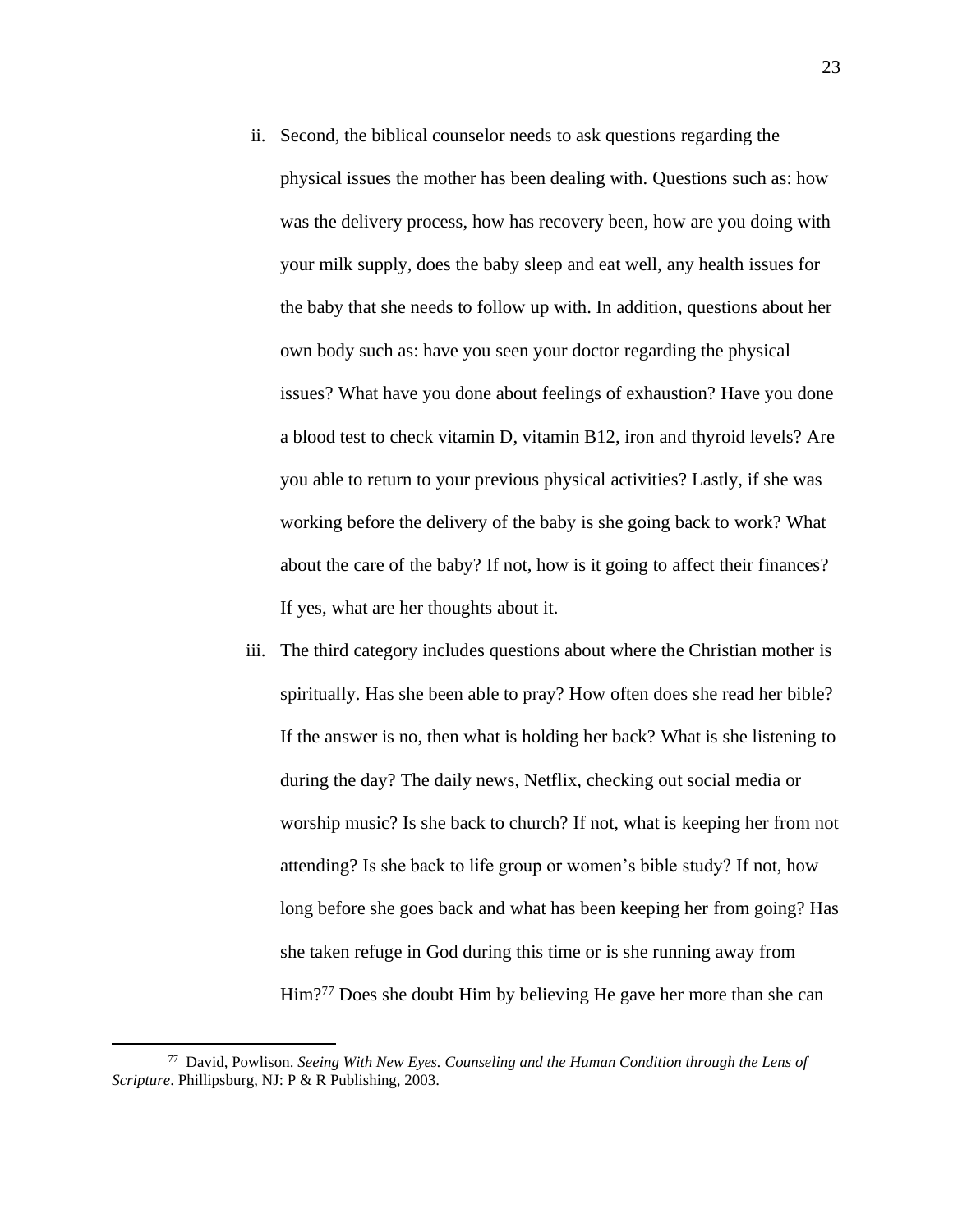- ii. Second, the biblical counselor needs to ask questions regarding the physical issues the mother has been dealing with. Questions such as: how was the delivery process, how has recovery been, how are you doing with your milk supply, does the baby sleep and eat well, any health issues for the baby that she needs to follow up with. In addition, questions about her own body such as: have you seen your doctor regarding the physical issues? What have you done about feelings of exhaustion? Have you done a blood test to check vitamin D, vitamin B12, iron and thyroid levels? Are you able to return to your previous physical activities? Lastly, if she was working before the delivery of the baby is she going back to work? What about the care of the baby? If not, how is it going to affect their finances? If yes, what are her thoughts about it.
- iii. The third category includes questions about where the Christian mother is spiritually. Has she been able to pray? How often does she read her bible? If the answer is no, then what is holding her back? What is she listening to during the day? The daily news, Netflix, checking out social media or worship music? Is she back to church? If not, what is keeping her from not attending? Is she back to life group or women's bible study? If not, how long before she goes back and what has been keeping her from going? Has she taken refuge in God during this time or is she running away from Him?<sup>77</sup> Does she doubt Him by believing He gave her more than she can

<sup>77</sup> David, Powlison. *Seeing With New Eyes. Counseling and the Human Condition through the Lens of Scripture*. Phillipsburg, NJ: P & R Publishing, 2003.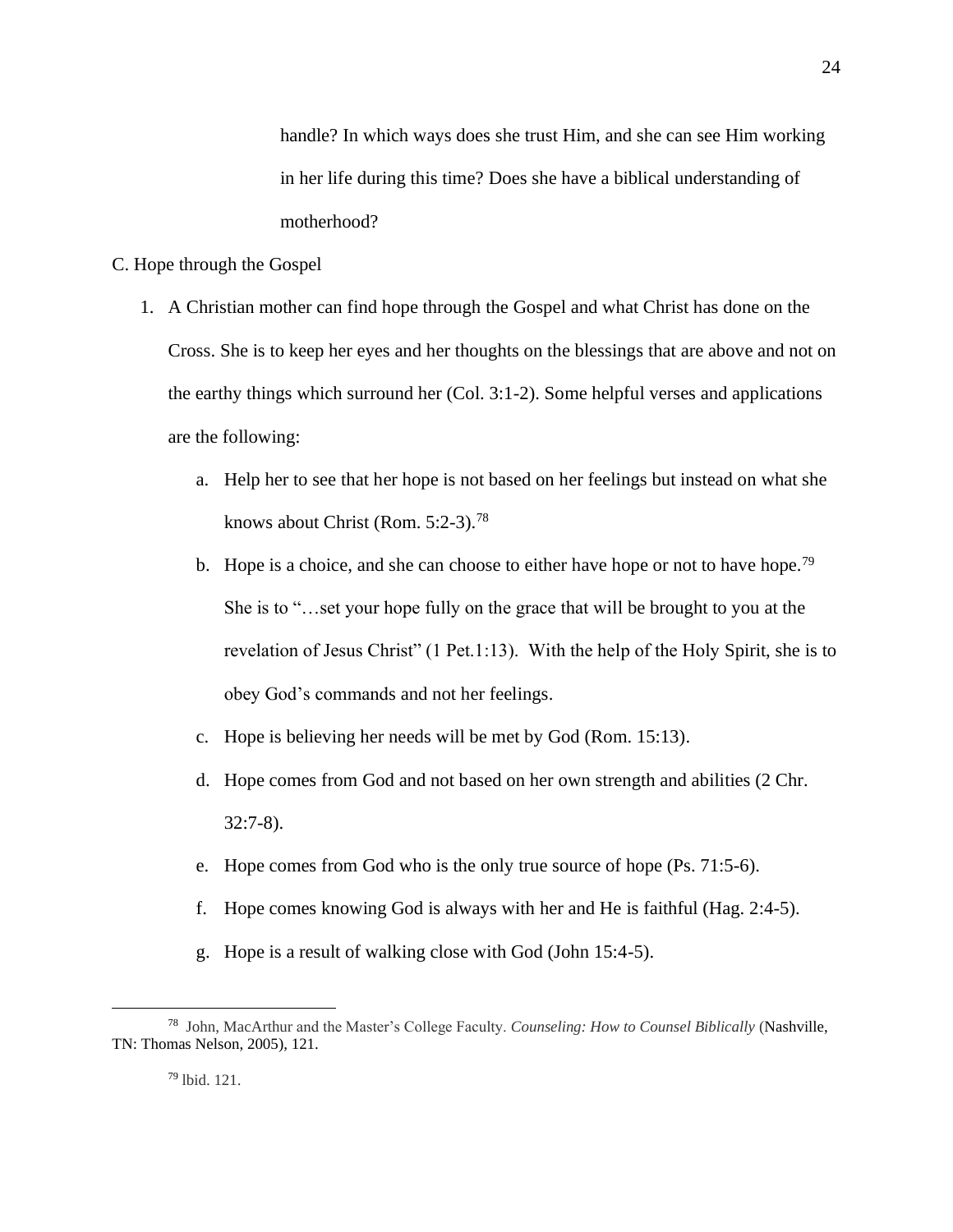handle? In which ways does she trust Him, and she can see Him working in her life during this time? Does she have a biblical understanding of motherhood?

### C. Hope through the Gospel

- 1. A Christian mother can find hope through the Gospel and what Christ has done on the Cross. She is to keep her eyes and her thoughts on the blessings that are above and not on the earthy things which surround her (Col. 3:1-2). Some helpful verses and applications are the following:
	- a. Help her to see that her hope is not based on her feelings but instead on what she knows about Christ (Rom. 5:2-3).<sup>78</sup>
	- b. Hope is a choice, and she can choose to either have hope or not to have hope.<sup>79</sup> She is to "…set your hope fully on the grace that will be brought to you at the revelation of Jesus Christ" (1 Pet.1:13). With the help of the Holy Spirit, she is to obey God's commands and not her feelings.
	- c. Hope is believing her needs will be met by God (Rom. 15:13).
	- d. Hope comes from God and not based on her own strength and abilities (2 Chr. 32:7-8).
	- e. Hope comes from God who is the only true source of hope (Ps. 71:5-6).
	- f. Hope comes knowing God is always with her and He is faithful (Hag. 2:4-5).
	- g. Hope is a result of walking close with God (John 15:4-5).

<sup>79</sup> lbid. 121.

<sup>78</sup> John, MacArthur and the Master's College Faculty. *Counseling: How to Counsel Biblically* (Nashville, TN: Thomas Nelson, 2005), 121.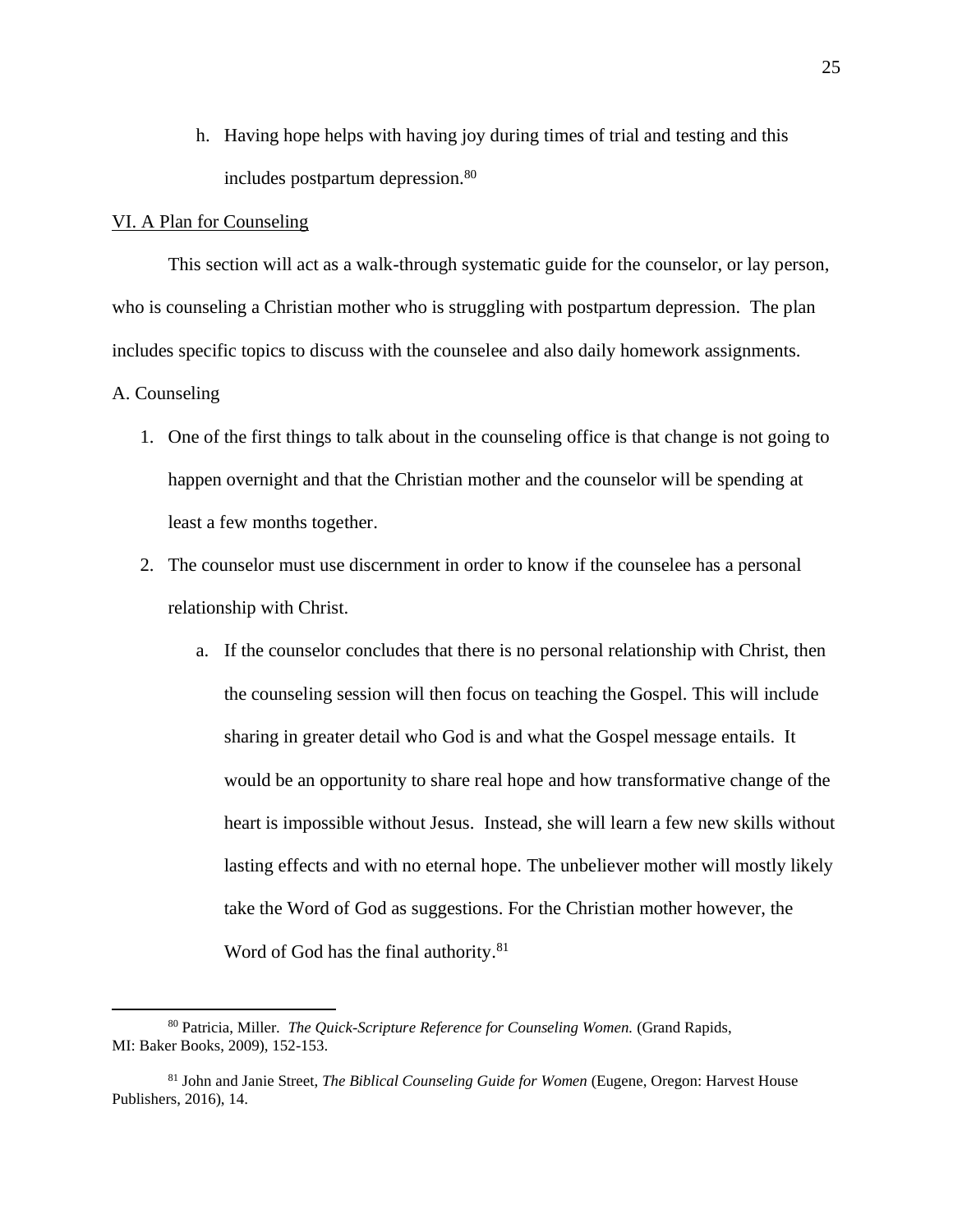h. Having hope helps with having joy during times of trial and testing and this includes postpartum depression.<sup>80</sup>

### VI. A Plan for Counseling

This section will act as a walk-through systematic guide for the counselor, or lay person, who is counseling a Christian mother who is struggling with postpartum depression. The plan includes specific topics to discuss with the counselee and also daily homework assignments.

### A. Counseling

- 1. One of the first things to talk about in the counseling office is that change is not going to happen overnight and that the Christian mother and the counselor will be spending at least a few months together.
- 2. The counselor must use discernment in order to know if the counselee has a personal relationship with Christ.
	- a. If the counselor concludes that there is no personal relationship with Christ, then the counseling session will then focus on teaching the Gospel. This will include sharing in greater detail who God is and what the Gospel message entails. It would be an opportunity to share real hope and how transformative change of the heart is impossible without Jesus. Instead, she will learn a few new skills without lasting effects and with no eternal hope. The unbeliever mother will mostly likely take the Word of God as suggestions. For the Christian mother however, the Word of God has the final authority.<sup>81</sup>

<sup>80</sup> Patricia, Miller. *The Quick-Scripture Reference for Counseling Women.* (Grand Rapids, MI: Baker Books, 2009), 152-153.

<sup>81</sup> John and Janie Street, *The Biblical Counseling Guide for Women* (Eugene, Oregon: Harvest House Publishers, 2016), 14.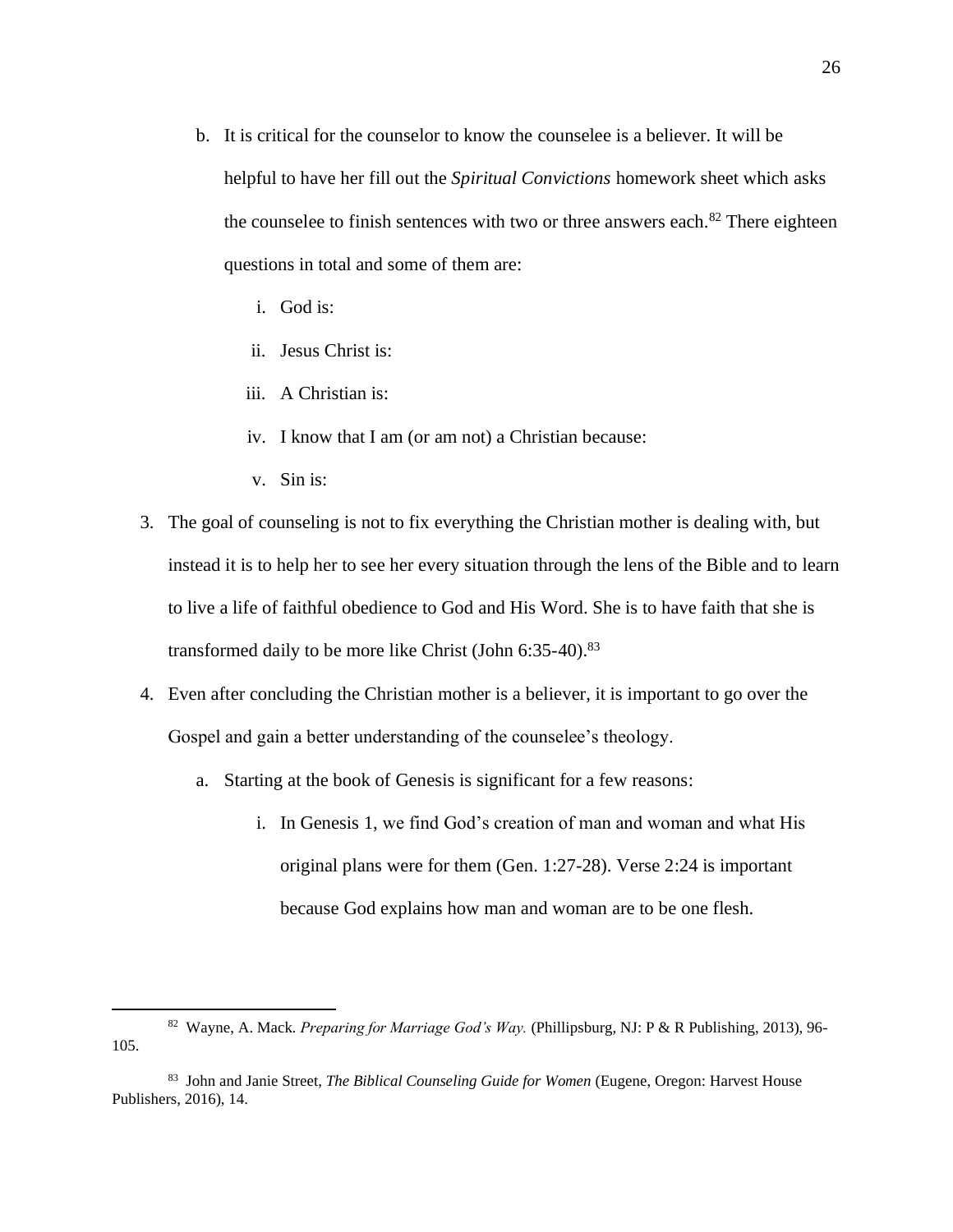- b. It is critical for the counselor to know the counselee is a believer. It will be helpful to have her fill out the *Spiritual Convictions* homework sheet which asks the counselee to finish sentences with two or three answers each. $82$  There eighteen questions in total and some of them are:
	- i. God is:
	- ii. Jesus Christ is:
	- iii. A Christian is:
	- iv. I know that I am (or am not) a Christian because:
	- v. Sin is:
- 3. The goal of counseling is not to fix everything the Christian mother is dealing with, but instead it is to help her to see her every situation through the lens of the Bible and to learn to live a life of faithful obedience to God and His Word. She is to have faith that she is transformed daily to be more like Christ (John 6:35-40).<sup>83</sup>
- 4. Even after concluding the Christian mother is a believer, it is important to go over the Gospel and gain a better understanding of the counselee's theology.
	- a. Starting at the book of Genesis is significant for a few reasons:
		- i. In Genesis 1, we find God's creation of man and woman and what His original plans were for them (Gen. 1:27-28). Verse 2:24 is important because God explains how man and woman are to be one flesh.

<sup>82</sup> Wayne, A. Mack*. Preparing for Marriage God's Way.* (Phillipsburg, NJ: P & R Publishing, 2013), 96- 105.

<sup>83</sup> John and Janie Street, *The Biblical Counseling Guide for Women* (Eugene, Oregon: Harvest House Publishers, 2016), 14.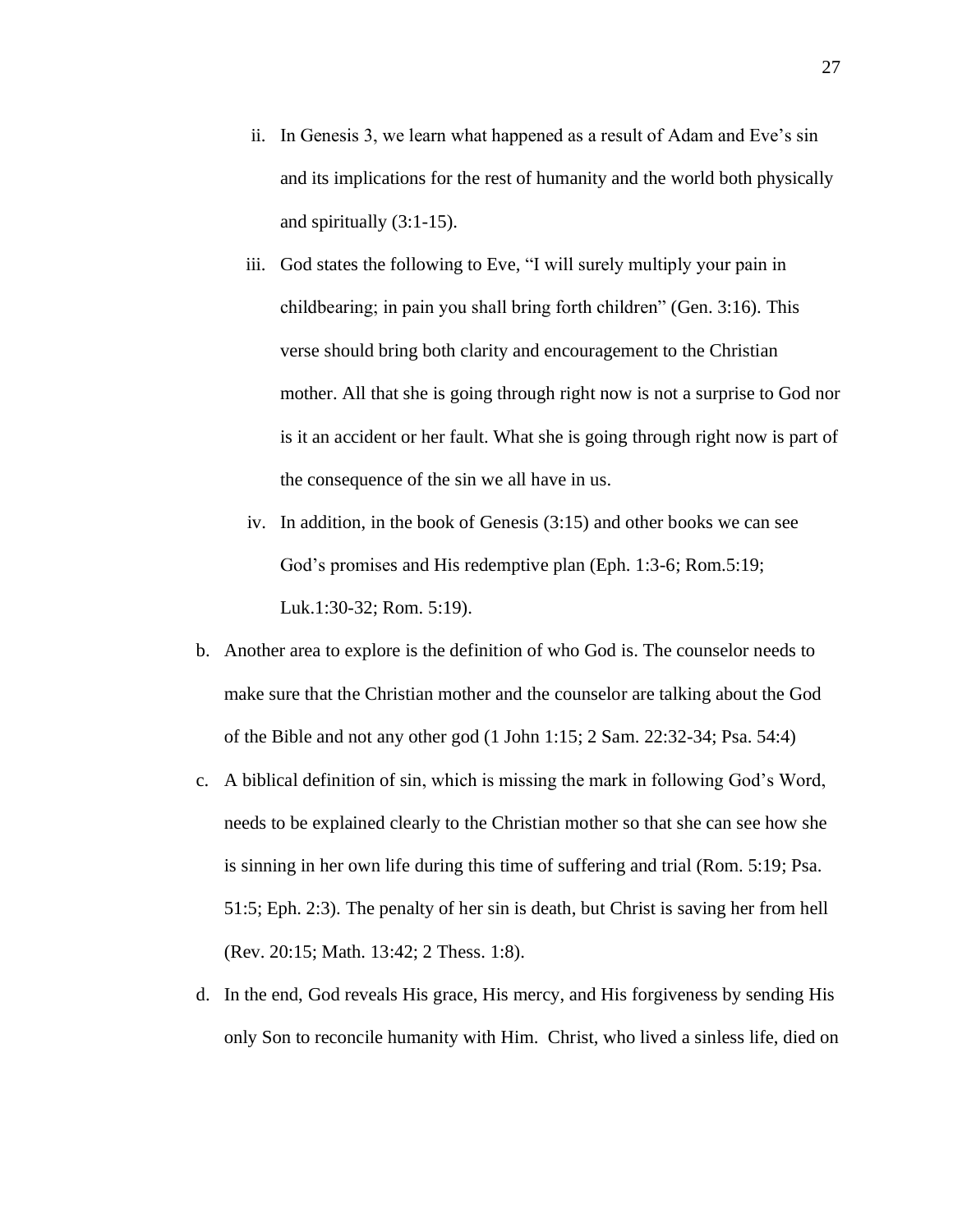- ii. In Genesis 3, we learn what happened as a result of Adam and Eve's sin and its implications for the rest of humanity and the world both physically and spiritually (3:1-15).
- iii. God states the following to Eve, "I will surely multiply your pain in childbearing; in pain you shall bring forth children" (Gen. 3:16). This verse should bring both clarity and encouragement to the Christian mother. All that she is going through right now is not a surprise to God nor is it an accident or her fault. What she is going through right now is part of the consequence of the sin we all have in us.
- iv. In addition, in the book of Genesis (3:15) and other books we can see God's promises and His redemptive plan (Eph. 1:3-6; Rom.5:19; Luk.1:30-32; Rom. 5:19).
- b. Another area to explore is the definition of who God is. The counselor needs to make sure that the Christian mother and the counselor are talking about the God of the Bible and not any other god (1 John 1:15; 2 Sam. 22:32-34; Psa. 54:4)
- c. A biblical definition of sin, which is missing the mark in following God's Word, needs to be explained clearly to the Christian mother so that she can see how she is sinning in her own life during this time of suffering and trial (Rom. 5:19; Psa. 51:5; Eph. 2:3). The penalty of her sin is death, but Christ is saving her from hell (Rev. 20:15; Math. 13:42; 2 Thess. 1:8).
- d. In the end, God reveals His grace, His mercy, and His forgiveness by sending His only Son to reconcile humanity with Him. Christ, who lived a sinless life, died on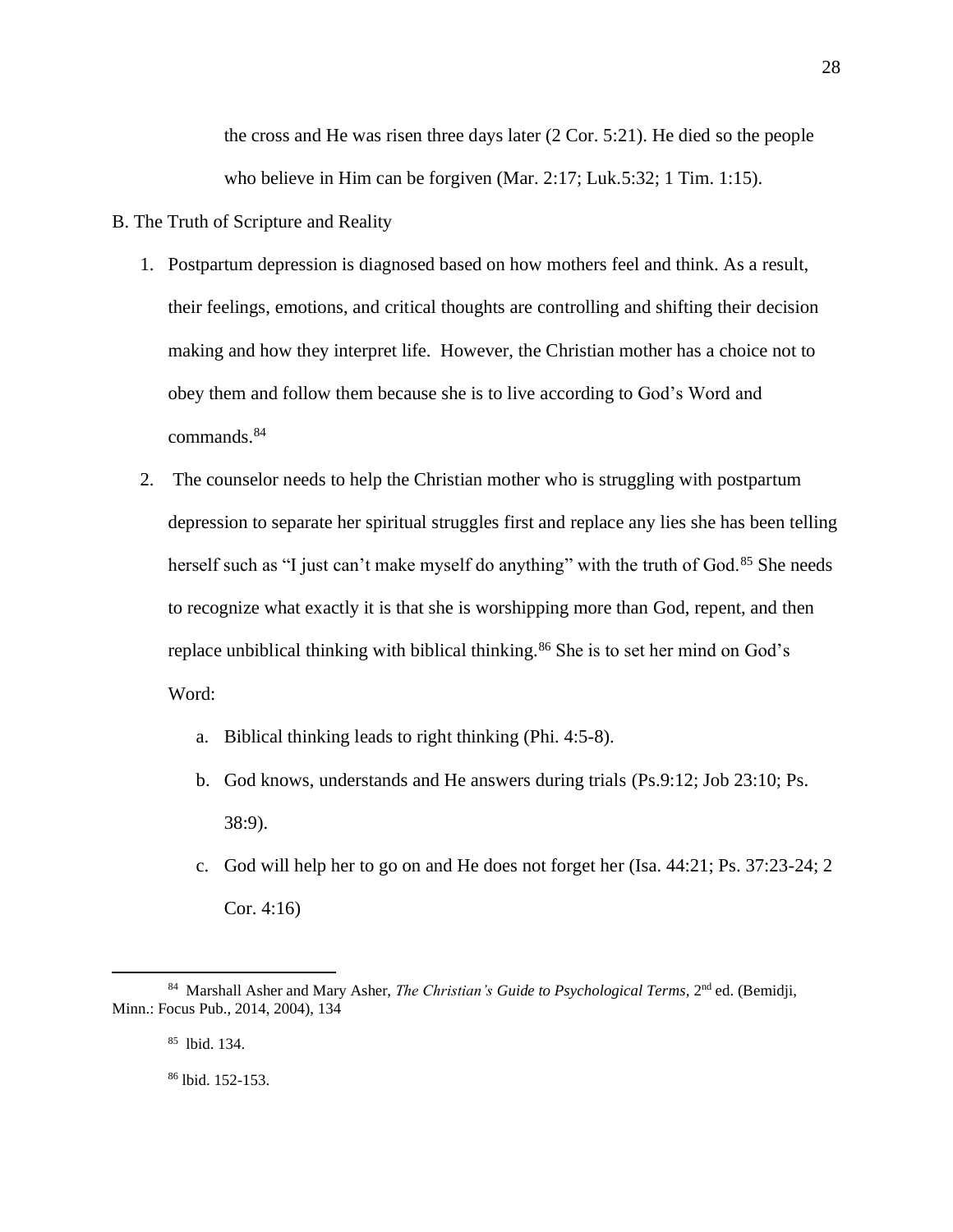the cross and He was risen three days later (2 Cor. 5:21). He died so the people who believe in Him can be forgiven (Mar. 2:17; Luk.5:32; 1 Tim. 1:15).

- B. The Truth of Scripture and Reality
	- 1. Postpartum depression is diagnosed based on how mothers feel and think. As a result, their feelings, emotions, and critical thoughts are controlling and shifting their decision making and how they interpret life. However, the Christian mother has a choice not to obey them and follow them because she is to live according to God's Word and commands.<sup>84</sup>
	- 2. The counselor needs to help the Christian mother who is struggling with postpartum depression to separate her spiritual struggles first and replace any lies she has been telling herself such as "I just can't make myself do anything" with the truth of God.<sup>85</sup> She needs to recognize what exactly it is that she is worshipping more than God, repent, and then replace unbiblical thinking with biblical thinking.<sup>86</sup> She is to set her mind on God's Word:
		- a. Biblical thinking leads to right thinking (Phi. 4:5-8).
		- b. God knows, understands and He answers during trials (Ps.9:12; Job 23:10; Ps. 38:9).
		- c. God will help her to go on and He does not forget her (Isa. 44:21; Ps. 37:23-24; 2 Cor. 4:16)

<sup>&</sup>lt;sup>84</sup> Marshall Asher and Mary Asher, *The Christian's Guide to Psychological Terms*, 2<sup>nd</sup> ed. (Bemidji, Minn.: Focus Pub., 2014, 2004), 134

<sup>85</sup> lbid. 134.

<sup>86</sup> lbid. 152-153.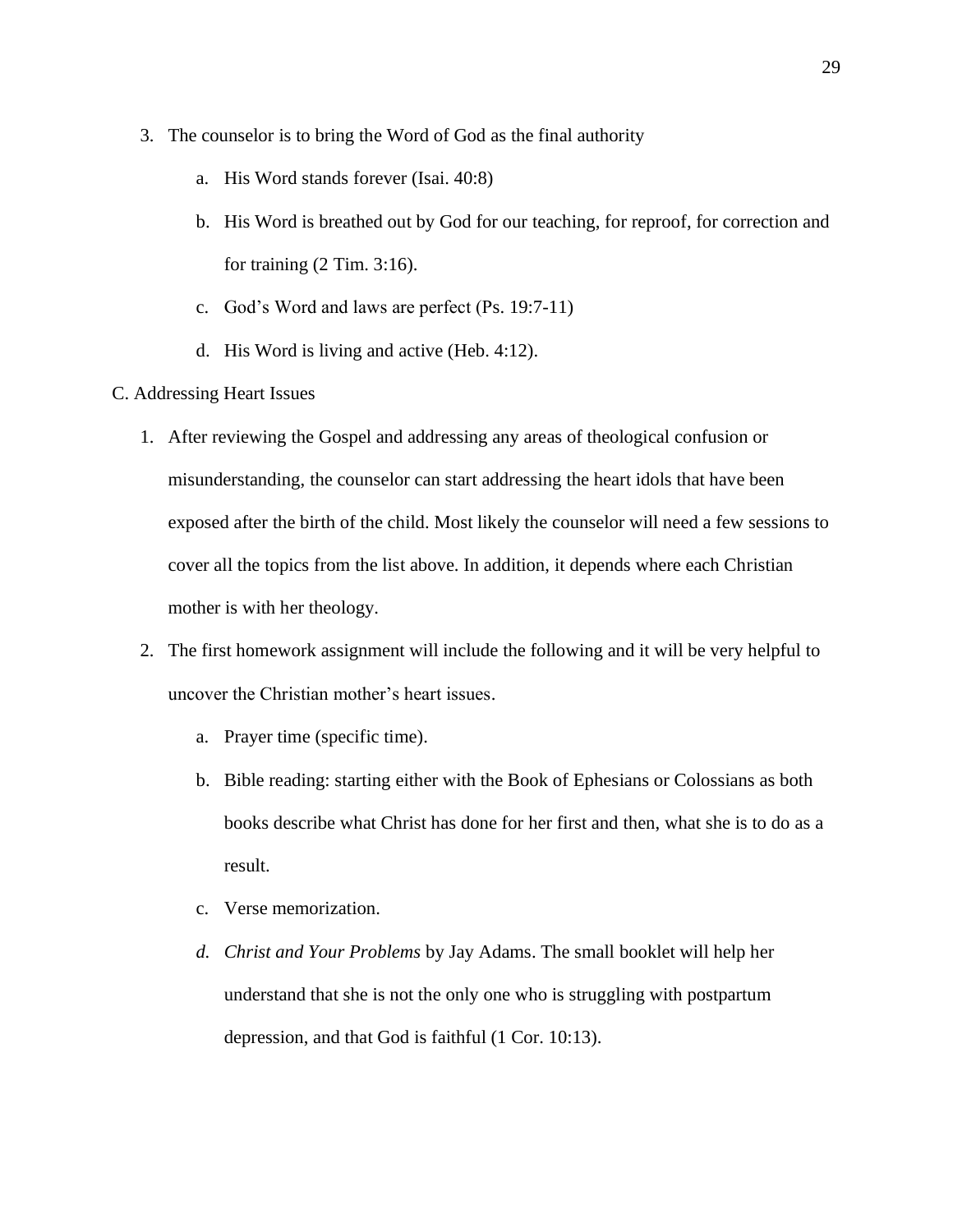- 3. The counselor is to bring the Word of God as the final authority
	- a. His Word stands forever (Isai. 40:8)
	- b. His Word is breathed out by God for our teaching, for reproof, for correction and for training (2 Tim. 3:16).
	- c. God's Word and laws are perfect (Ps. 19:7-11)
	- d. His Word is living and active (Heb. 4:12).
- C. Addressing Heart Issues
	- 1. After reviewing the Gospel and addressing any areas of theological confusion or misunderstanding, the counselor can start addressing the heart idols that have been exposed after the birth of the child. Most likely the counselor will need a few sessions to cover all the topics from the list above. In addition, it depends where each Christian mother is with her theology.
	- 2. The first homework assignment will include the following and it will be very helpful to uncover the Christian mother's heart issues.
		- a. Prayer time (specific time).
		- b. Bible reading: starting either with the Book of Ephesians or Colossians as both books describe what Christ has done for her first and then, what she is to do as a result.
		- c. Verse memorization.
		- *d. Christ and Your Problems* by Jay Adams. The small booklet will help her understand that she is not the only one who is struggling with postpartum depression, and that God is faithful (1 Cor. 10:13).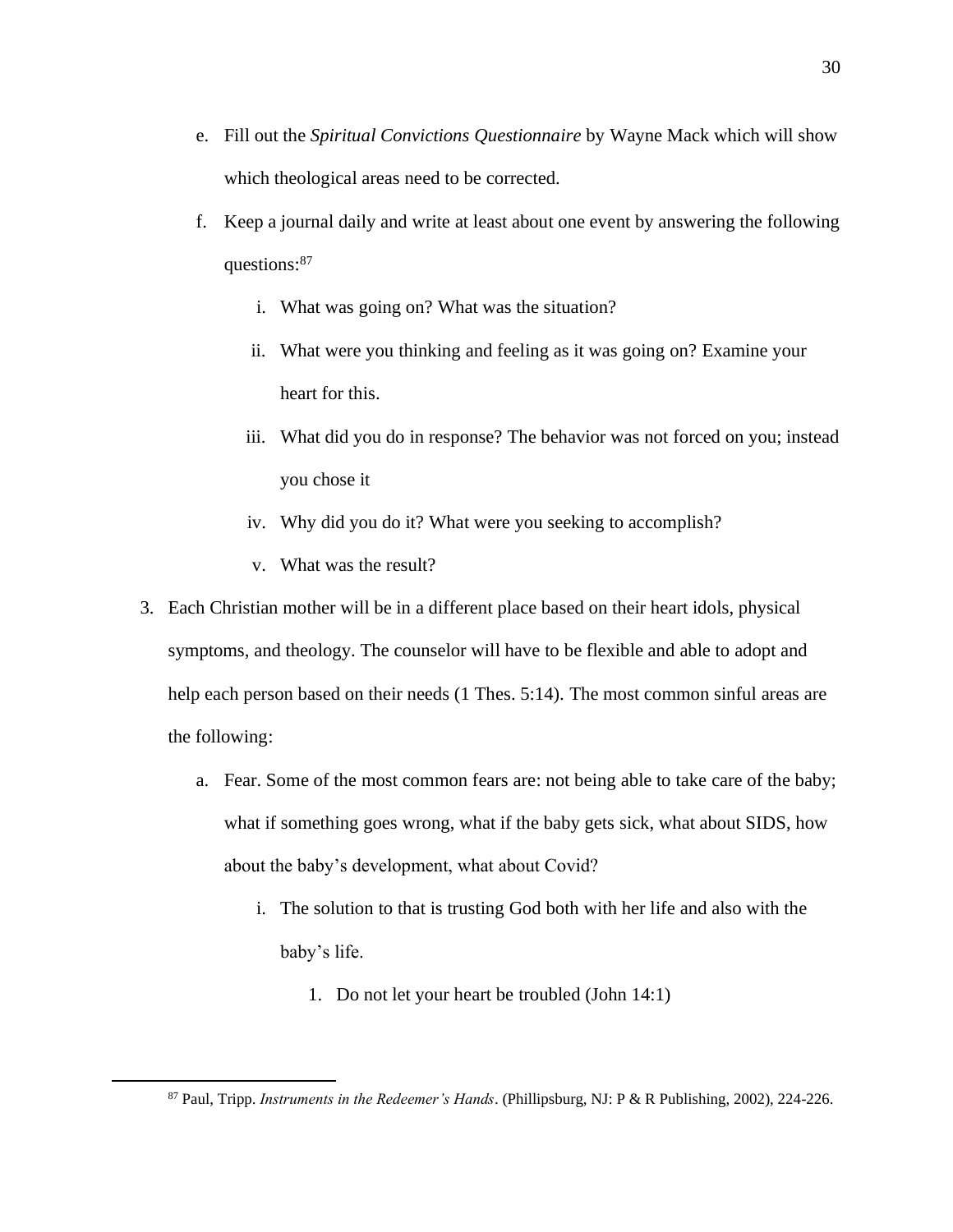- e. Fill out the *Spiritual Convictions Questionnaire* by Wayne Mack which will show which theological areas need to be corrected.
- f. Keep a journal daily and write at least about one event by answering the following questions:<sup>87</sup>
	- i. What was going on? What was the situation?
	- ii. What were you thinking and feeling as it was going on? Examine your heart for this.
	- iii. What did you do in response? The behavior was not forced on you; instead you chose it
	- iv. Why did you do it? What were you seeking to accomplish?
	- v. What was the result?
- 3. Each Christian mother will be in a different place based on their heart idols, physical symptoms, and theology. The counselor will have to be flexible and able to adopt and help each person based on their needs (1 Thes. 5:14). The most common sinful areas are the following:
	- a. Fear. Some of the most common fears are: not being able to take care of the baby; what if something goes wrong, what if the baby gets sick, what about SIDS, how about the baby's development, what about Covid?
		- i. The solution to that is trusting God both with her life and also with the baby's life.
			- 1. Do not let your heart be troubled (John 14:1)

<sup>87</sup> Paul, Tripp. *Instruments in the Redeemer's Hands*. (Phillipsburg, NJ: P & R Publishing, 2002), 224-226.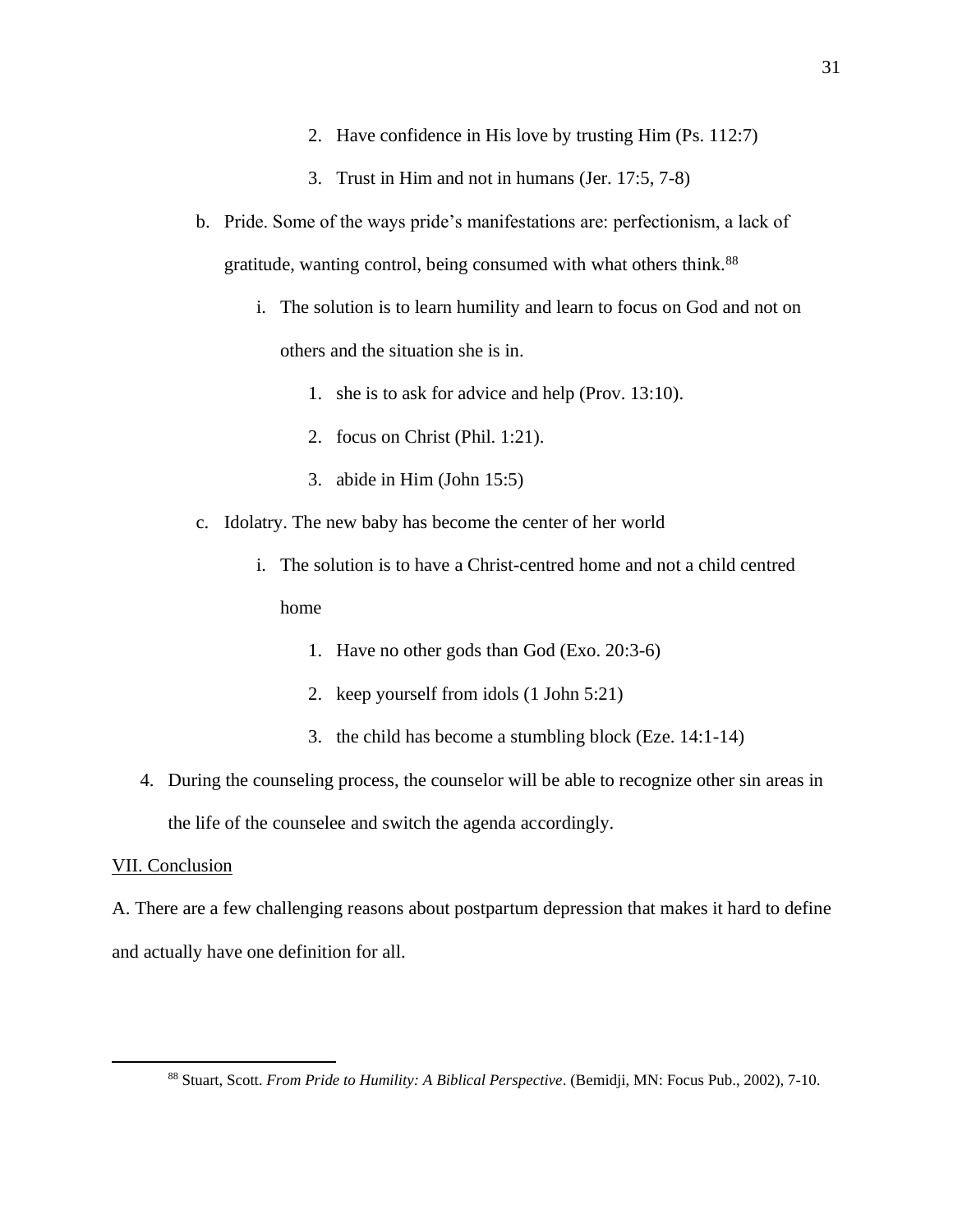- 2. Have confidence in His love by trusting Him (Ps. 112:7)
- 3. Trust in Him and not in humans (Jer. 17:5, 7-8)
- b. Pride. Some of the ways pride's manifestations are: perfectionism, a lack of gratitude, wanting control, being consumed with what others think.<sup>88</sup>
	- i. The solution is to learn humility and learn to focus on God and not on others and the situation she is in.
		- 1. she is to ask for advice and help (Prov. 13:10).
		- 2. focus on Christ (Phil. 1:21).
		- 3. abide in Him (John 15:5)
- c. Idolatry. The new baby has become the center of her world
	- i. The solution is to have a Christ-centred home and not a child centred home
		- 1. Have no other gods than God (Exo. 20:3-6)
		- 2. keep yourself from idols (1 John 5:21)
		- 3. the child has become a stumbling block (Eze. 14:1-14)
- 4. During the counseling process, the counselor will be able to recognize other sin areas in the life of the counselee and switch the agenda accordingly.

### VII. Conclusion

A. There are a few challenging reasons about postpartum depression that makes it hard to define and actually have one definition for all.

<sup>88</sup> Stuart, Scott. *From Pride to Humility: A Biblical Perspective*. (Bemidji, MN: Focus Pub., 2002), 7-10.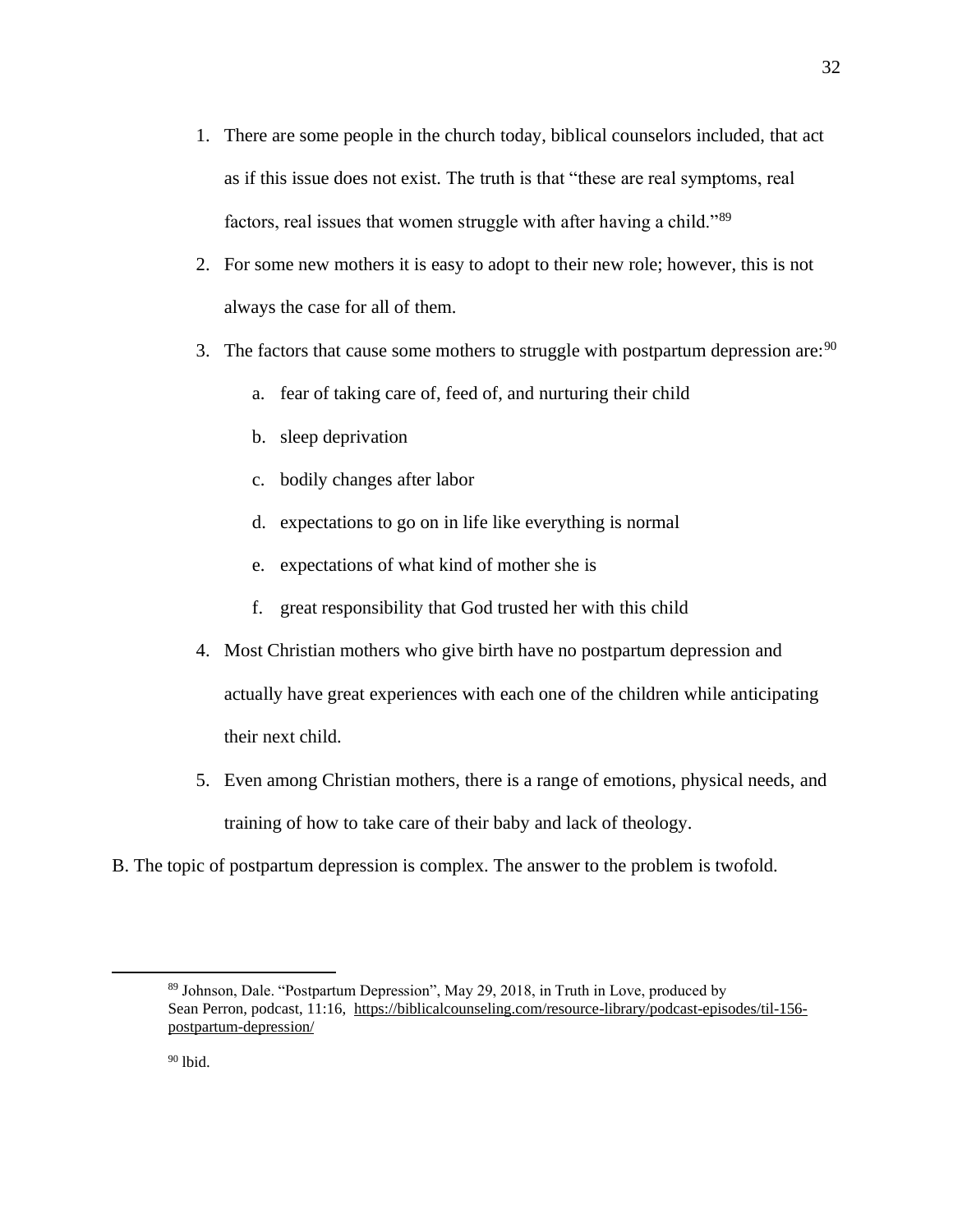- 1. There are some people in the church today, biblical counselors included, that act as if this issue does not exist. The truth is that "these are real symptoms, real factors, real issues that women struggle with after having a child."<sup>89</sup>
- 2. For some new mothers it is easy to adopt to their new role; however, this is not always the case for all of them.
- 3. The factors that cause some mothers to struggle with postpartum depression are:  $90$ 
	- a. fear of taking care of, feed of, and nurturing their child
	- b. sleep deprivation
	- c. bodily changes after labor
	- d. expectations to go on in life like everything is normal
	- e. expectations of what kind of mother she is
	- f. great responsibility that God trusted her with this child
- 4. Most Christian mothers who give birth have no postpartum depression and actually have great experiences with each one of the children while anticipating their next child.
- 5. Even among Christian mothers, there is a range of emotions, physical needs, and training of how to take care of their baby and lack of theology.
- B. The topic of postpartum depression is complex. The answer to the problem is twofold.

<sup>89</sup> Johnson, Dale. "Postpartum Depression", May 29, 2018, in Truth in Love, produced by Sean Perron, podcast, 11:16, [https://biblicalcounseling.com/resource-library/podcast-episodes/til-156](https://biblicalcounseling.com/resource-library/podcast-episodes/til-156-postpartum-depression/) [postpartum-depression/](https://biblicalcounseling.com/resource-library/podcast-episodes/til-156-postpartum-depression/)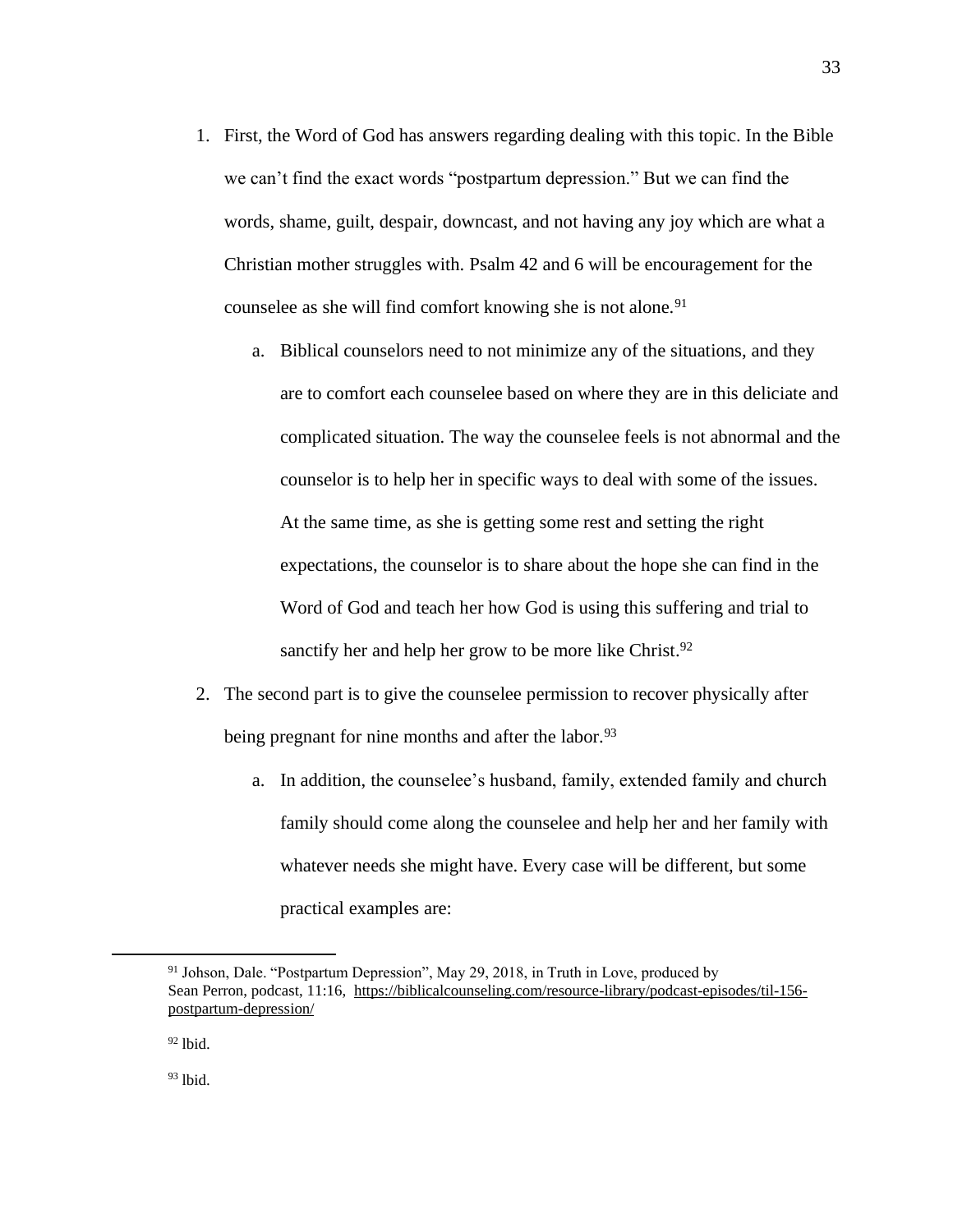- 1. First, the Word of God has answers regarding dealing with this topic. In the Bible we can't find the exact words "postpartum depression." But we can find the words, shame, guilt, despair, downcast, and not having any joy which are what a Christian mother struggles with. Psalm 42 and 6 will be encouragement for the counselee as she will find comfort knowing she is not alone.<sup>91</sup>
	- a. Biblical counselors need to not minimize any of the situations, and they are to comfort each counselee based on where they are in this deliciate and complicated situation. The way the counselee feels is not abnormal and the counselor is to help her in specific ways to deal with some of the issues. At the same time, as she is getting some rest and setting the right expectations, the counselor is to share about the hope she can find in the Word of God and teach her how God is using this suffering and trial to sanctify her and help her grow to be more like Christ.<sup>92</sup>
- 2. The second part is to give the counselee permission to recover physically after being pregnant for nine months and after the labor.<sup>93</sup>
	- a. In addition, the counselee's husband, family, extended family and church family should come along the counselee and help her and her family with whatever needs she might have. Every case will be different, but some practical examples are:

<sup>&</sup>lt;sup>91</sup> Johson, Dale. "Postpartum Depression", May 29, 2018, in Truth in Love, produced by Sean Perron, podcast, 11:16, [https://biblicalcounseling.com/resource-library/podcast-episodes/til-156](https://biblicalcounseling.com/resource-library/podcast-episodes/til-156-postpartum-depression/) [postpartum-depression/](https://biblicalcounseling.com/resource-library/podcast-episodes/til-156-postpartum-depression/)

 $92$  lbid.

<sup>93</sup> lbid.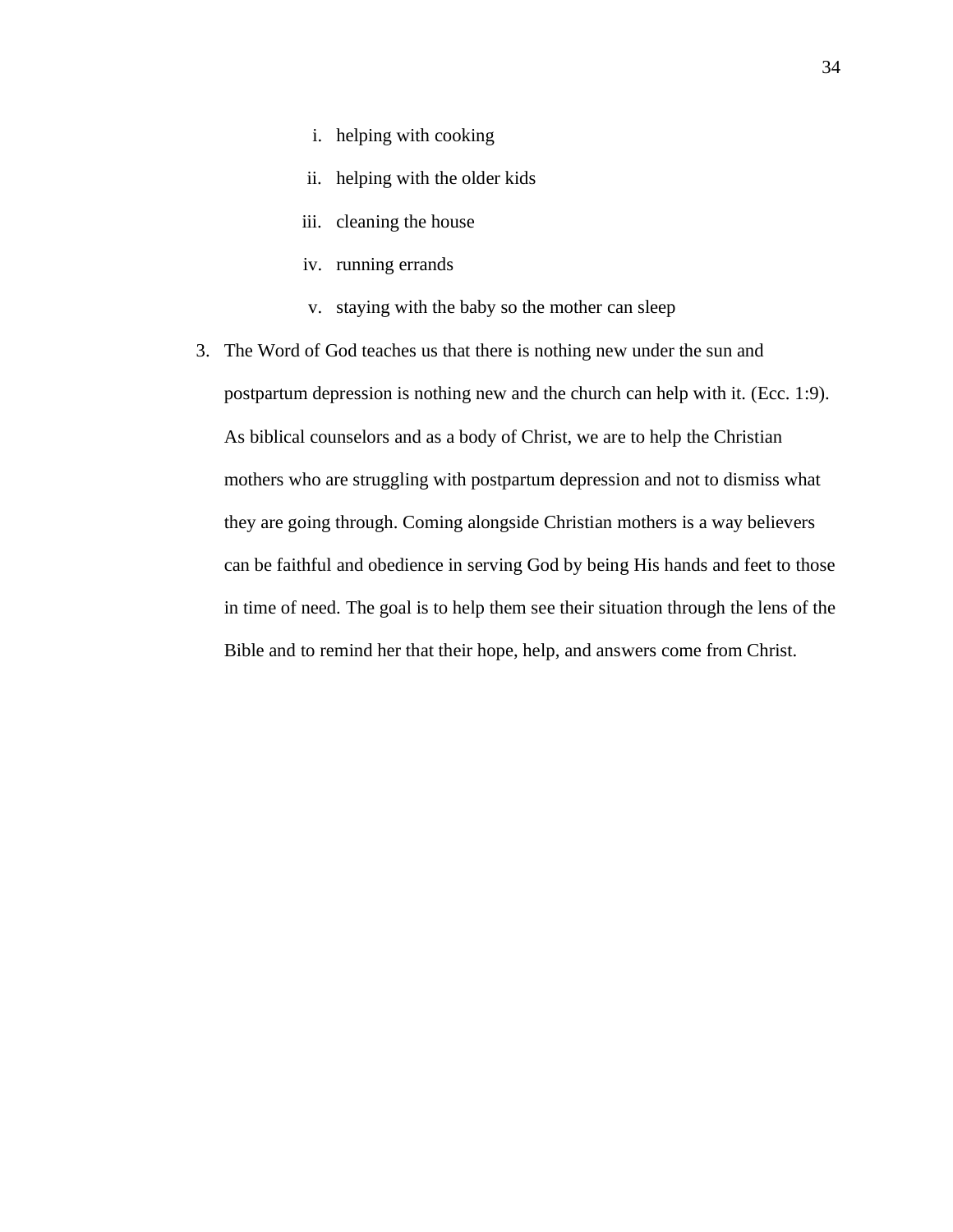- i. helping with cooking
- ii. helping with the older kids
- iii. cleaning the house
- iv. running errands
- v. staying with the baby so the mother can sleep
- 3. The Word of God teaches us that there is nothing new under the sun and postpartum depression is nothing new and the church can help with it. (Ecc. 1:9). As biblical counselors and as a body of Christ, we are to help the Christian mothers who are struggling with postpartum depression and not to dismiss what they are going through. Coming alongside Christian mothers is a way believers can be faithful and obedience in serving God by being His hands and feet to those in time of need. The goal is to help them see their situation through the lens of the Bible and to remind her that their hope, help, and answers come from Christ.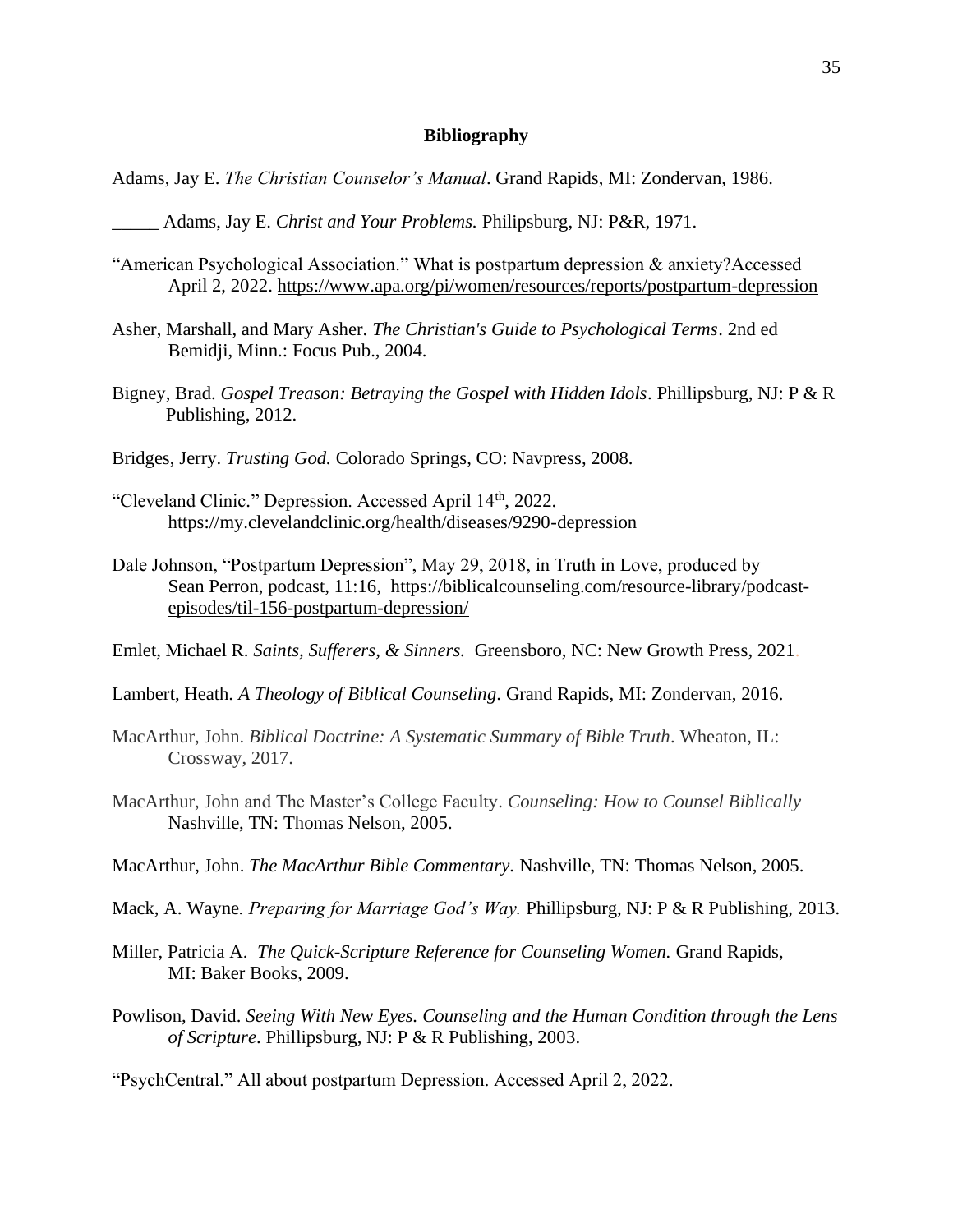### **Bibliography**

- Adams, Jay E. *The Christian Counselor's Manual*. Grand Rapids, MI: Zondervan, 1986.
	- \_\_\_\_\_ Adams, Jay E. *Christ and Your Problems.* Philipsburg, NJ: P&R, 1971.
- "American Psychological Association." What is postpartum depression & anxiety?Accessed April 2, 2022.<https://www.apa.org/pi/women/resources/reports/postpartum-depression>
- Asher, Marshall, and Mary Asher. *The Christian's Guide to Psychological Terms*. 2nd ed Bemidji, Minn.: Focus Pub., 2004.
- Bigney, Brad. *Gospel Treason: Betraying the Gospel with Hidden Idols*. Phillipsburg, NJ: P & R Publishing, 2012.
- Bridges, Jerry. *Trusting God.* Colorado Springs, CO: Navpress, 2008.
- "Cleveland Clinic." Depression. Accessed April 14th, 2022. <https://my.clevelandclinic.org/health/diseases/9290-depression>
- Dale Johnson, "Postpartum Depression", May 29, 2018, in Truth in Love, produced by Sean Perron, podcast, 11:16, [https://biblicalcounseling.com/resource-library/podcast](https://biblicalcounseling.com/resource-library/podcast-episodes/til-156-postpartum-depression/)[episodes/til-156-postpartum-depression/](https://biblicalcounseling.com/resource-library/podcast-episodes/til-156-postpartum-depression/)

Emlet, Michael R. *Saints, Sufferers, & Sinners.* Greensboro, NC: New Growth Press, 2021.

- Lambert, Heath. *A Theology of Biblical Counseling*. Grand Rapids, MI: Zondervan, 2016.
- MacArthur, John. *Biblical Doctrine: A Systematic Summary of Bible Truth*. Wheaton, IL: Crossway, 2017.
- MacArthur, John and The Master's College Faculty. *Counseling: How to Counsel Biblically*  Nashville, TN: Thomas Nelson, 2005.
- MacArthur, John. *The MacArthur Bible Commentary.* Nashville, TN: Thomas Nelson, 2005.
- Mack, A. Wayne*. Preparing for Marriage God's Way.* Phillipsburg, NJ: P & R Publishing, 2013.
- Miller, Patricia A. *The Quick-Scripture Reference for Counseling Women.* Grand Rapids, MI: Baker Books, 2009.
- Powlison, David. *Seeing With New Eyes. Counseling and the Human Condition through the Lens of Scripture*. Phillipsburg, NJ: P & R Publishing, 2003.

"PsychCentral." All about postpartum Depression. Accessed April 2, 2022.